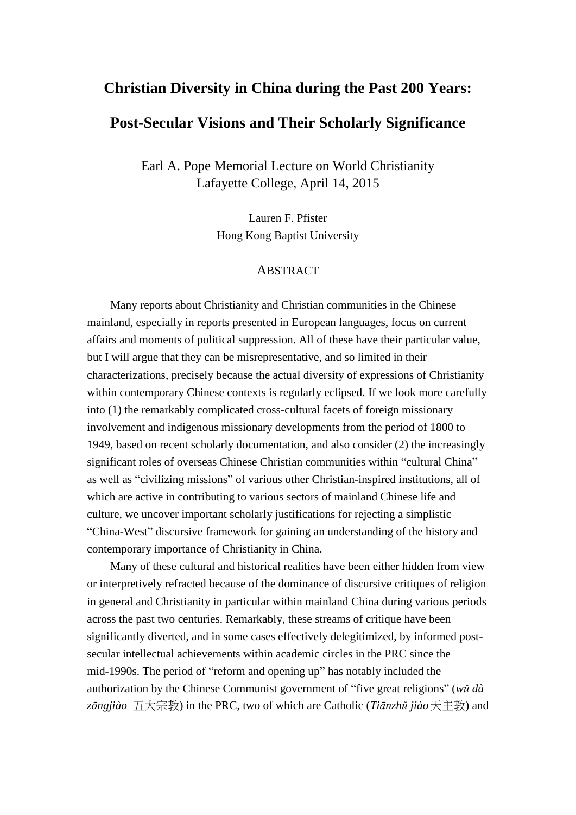# **Christian Diversity in China during the Past 200 Years:**

# **Post-Secular Visions and Their Scholarly Significance**

Earl A. Pope Memorial Lecture on World Christianity Lafayette College, April 14, 2015

> Lauren F. Pfister Hong Kong Baptist University

### ABSTRACT

Many reports about Christianity and Christian communities in the Chinese mainland, especially in reports presented in European languages, focus on current affairs and moments of political suppression. All of these have their particular value, but I will argue that they can be misrepresentative, and so limited in their characterizations, precisely because the actual diversity of expressions of Christianity within contemporary Chinese contexts is regularly eclipsed. If we look more carefully into (1) the remarkably complicated cross-cultural facets of foreign missionary involvement and indigenous missionary developments from the period of 1800 to 1949, based on recent scholarly documentation, and also consider (2) the increasingly significant roles of overseas Chinese Christian communities within "cultural China" as well as "civilizing missions" of various other Christian-inspired institutions, all of which are active in contributing to various sectors of mainland Chinese life and culture, we uncover important scholarly justifications for rejecting a simplistic "China-West" discursive framework for gaining an understanding of the history and contemporary importance of Christianity in China.

Many of these cultural and historical realities have been either hidden from view or interpretively refracted because of the dominance of discursive critiques of religion in general and Christianity in particular within mainland China during various periods across the past two centuries. Remarkably, these streams of critique have been significantly diverted, and in some cases effectively delegitimized, by informed postsecular intellectual achievements within academic circles in the PRC since the mid-1990s. The period of "reform and opening up" has notably included the authorization by the Chinese Communist government of "five great religions" (*wǔ dà zōngjiào* 五大宗教) in the PRC, two of which are Catholic (*Tiānzhǔ jiào*天主教) and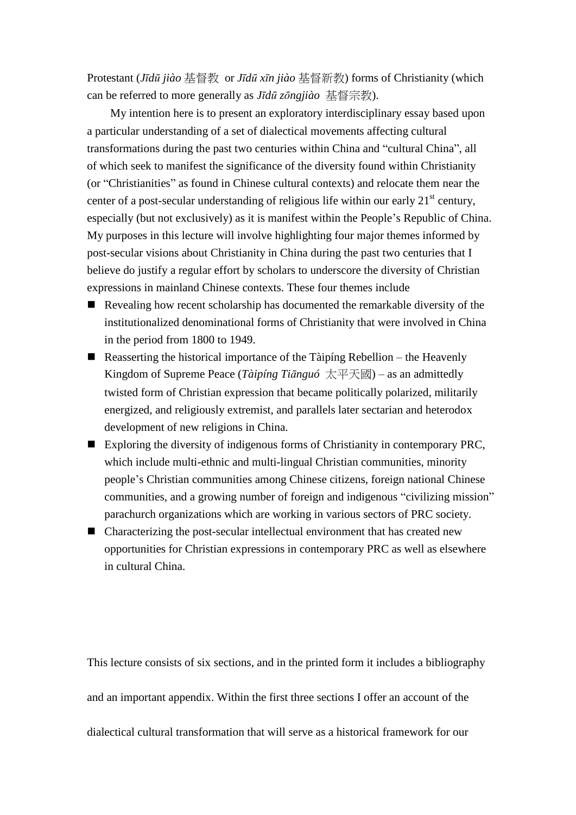Protestant (*Jīdū jiào* 基督教 or *Jīdū xīn jiào* 基督新教) forms of Christianity (which can be referred to more generally as *Jīdū zōngjiào* 基督宗教).

My intention here is to present an exploratory interdisciplinary essay based upon a particular understanding of a set of dialectical movements affecting cultural transformations during the past two centuries within China and "cultural China", all of which seek to manifest the significance of the diversity found within Christianity (or "Christianities" as found in Chinese cultural contexts) and relocate them near the center of a post-secular understanding of religious life within our early 21<sup>st</sup> century, especially (but not exclusively) as it is manifest within the People's Republic of China. My purposes in this lecture will involve highlighting four major themes informed by post-secular visions about Christianity in China during the past two centuries that I believe do justify a regular effort by scholars to underscore the diversity of Christian expressions in mainland Chinese contexts. These four themes include

- Revealing how recent scholarship has documented the remarkable diversity of the institutionalized denominational forms of Christianity that were involved in China in the period from 1800 to 1949.
- Reasserting the historical importance of the Tàipíng Rebellion the Heavenly Kingdom of Supreme Peace (*Tàipíng Tiānguó* 太平天國) – as an admittedly twisted form of Christian expression that became politically polarized, militarily energized, and religiously extremist, and parallels later sectarian and heterodox development of new religions in China.
- Exploring the diversity of indigenous forms of Christianity in contemporary PRC, which include multi-ethnic and multi-lingual Christian communities, minority people's Christian communities among Chinese citizens, foreign national Chinese communities, and a growing number of foreign and indigenous "civilizing mission" parachurch organizations which are working in various sectors of PRC society.
- Characterizing the post-secular intellectual environment that has created new opportunities for Christian expressions in contemporary PRC as well as elsewhere in cultural China.

This lecture consists of six sections, and in the printed form it includes a bibliography and an important appendix. Within the first three sections I offer an account of the dialectical cultural transformation that will serve as a historical framework for our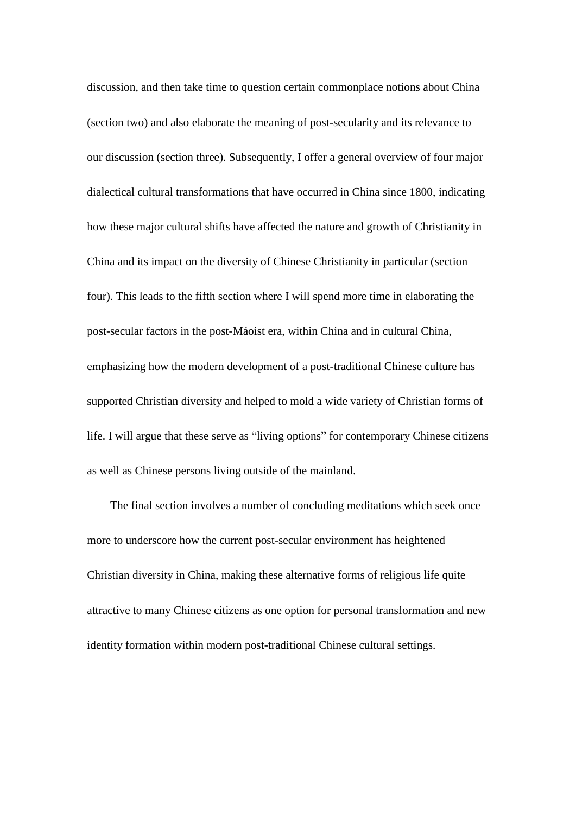discussion, and then take time to question certain commonplace notions about China (section two) and also elaborate the meaning of post-secularity and its relevance to our discussion (section three). Subsequently, I offer a general overview of four major dialectical cultural transformations that have occurred in China since 1800, indicating how these major cultural shifts have affected the nature and growth of Christianity in China and its impact on the diversity of Chinese Christianity in particular (section four). This leads to the fifth section where I will spend more time in elaborating the post-secular factors in the post-Máoist era, within China and in cultural China, emphasizing how the modern development of a post-traditional Chinese culture has supported Christian diversity and helped to mold a wide variety of Christian forms of life. I will argue that these serve as "living options" for contemporary Chinese citizens as well as Chinese persons living outside of the mainland.

The final section involves a number of concluding meditations which seek once more to underscore how the current post-secular environment has heightened Christian diversity in China, making these alternative forms of religious life quite attractive to many Chinese citizens as one option for personal transformation and new identity formation within modern post-traditional Chinese cultural settings.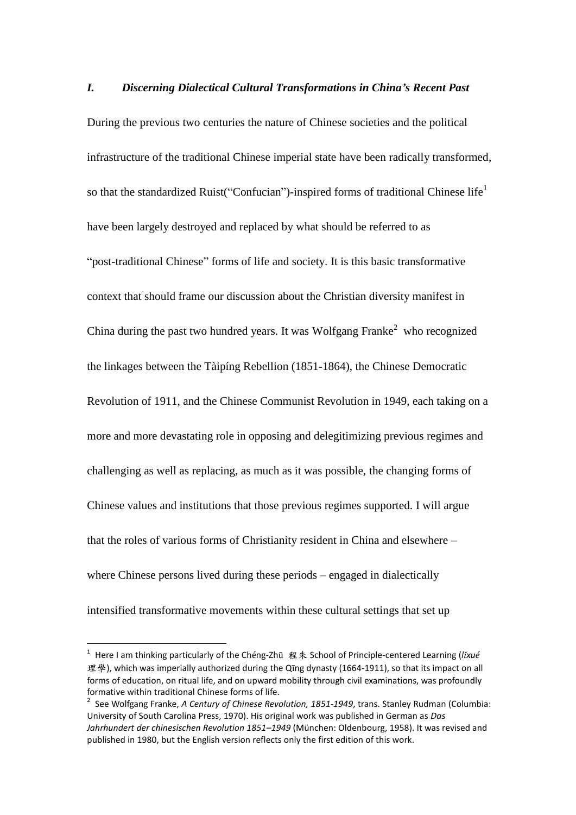*I. Discerning Dialectical Cultural Transformations in China's Recent Past* During the previous two centuries the nature of Chinese societies and the political infrastructure of the traditional Chinese imperial state have been radically transformed, so that the standardized Ruist("Confucian")-inspired forms of traditional Chinese life<sup>1</sup> have been largely destroyed and replaced by what should be referred to as "post-traditional Chinese" forms of life and society. It is this basic transformative context that should frame our discussion about the Christian diversity manifest in China during the past two hundred years. It was Wolfgang Franke<sup>2</sup> who recognized the linkages between the Tàipíng Rebellion (1851-1864), the Chinese Democratic Revolution of 1911, and the Chinese Communist Revolution in 1949, each taking on a more and more devastating role in opposing and delegitimizing previous regimes and challenging as well as replacing, as much as it was possible, the changing forms of Chinese values and institutions that those previous regimes supported. I will argue that the roles of various forms of Christianity resident in China and elsewhere – where Chinese persons lived during these periods – engaged in dialectically intensified transformative movements within these cultural settings that set up

<sup>1</sup> Here I am thinking particularly of the Chéng-Zhū 程朱 School of Principle-centered Learning (*lǐxué* 理學), which was imperially authorized during the Qīng dynasty (1664-1911), so that its impact on all forms of education, on ritual life, and on upward mobility through civil examinations, was profoundly formative within traditional Chinese forms of life.

<sup>2</sup> See Wolfgang Franke, *A Century of Chinese Revolution, 1851-1949*, trans. Stanley Rudman (Columbia: University of South Carolina Press, 1970). His original work was published in German as *Das Jahrhundert der chinesischen Revolution 1851–1949* (München: Oldenbourg, 1958). It was revised and published in 1980, but the English version reflects only the first edition of this work.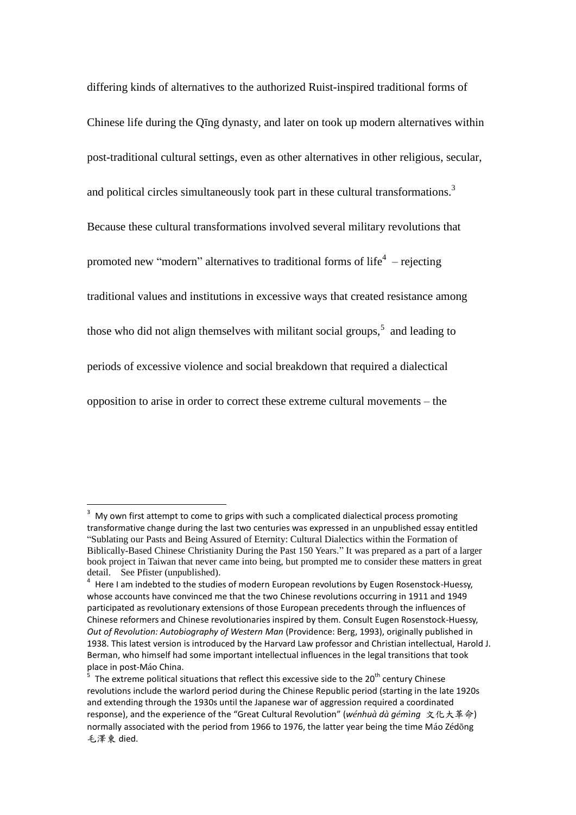differing kinds of alternatives to the authorized Ruist-inspired traditional forms of Chinese life during the Qīng dynasty, and later on took up modern alternatives within post-traditional cultural settings, even as other alternatives in other religious, secular, and political circles simultaneously took part in these cultural transformations.<sup>3</sup> Because these cultural transformations involved several military revolutions that promoted new "modern" alternatives to traditional forms of life<sup>4</sup>  $-$  rejecting traditional values and institutions in excessive ways that created resistance among those who did not align themselves with militant social groups, $5$  and leading to periods of excessive violence and social breakdown that required a dialectical opposition to arise in order to correct these extreme cultural movements – the

My own first attempt to come to grips with such a complicated dialectical process promoting transformative change during the last two centuries was expressed in an unpublished essay entitled "Sublating our Pasts and Being Assured of Eternity: Cultural Dialectics within the Formation of Biblically-Based Chinese Christianity During the Past 150 Years." It was prepared as a part of a larger book project in Taiwan that never came into being, but prompted me to consider these matters in great detail. See Pfister (unpublished).

<sup>4</sup> Here I am indebted to the studies of modern European revolutions by Eugen Rosenstock-Huessy, whose accounts have convinced me that the two Chinese revolutions occurring in 1911 and 1949 participated as revolutionary extensions of those European precedents through the influences of Chinese reformers and Chinese revolutionaries inspired by them. Consult Eugen Rosenstock-Huessy, *Out of Revolution: Autobiography of Western Man* (Providence: Berg, 1993), originally published in 1938. This latest version is introduced by the Harvard Law professor and Christian intellectual, Harold J. Berman, who himself had some important intellectual influences in the legal transitions that took place in post-Máo China.

<sup>5</sup> The extreme political situations that reflect this excessive side to the  $20^{th}$  century Chinese revolutions include the warlord period during the Chinese Republic period (starting in the late 1920s and extending through the 1930s until the Japanese war of aggression required a coordinated response), and the experience of the "Great Cultural Revolution" (*wénhuà dà gémìng* 文化大革命) normally associated with the period from 1966 to 1976, the latter year being the time Máo Zédōng 毛澤東 died.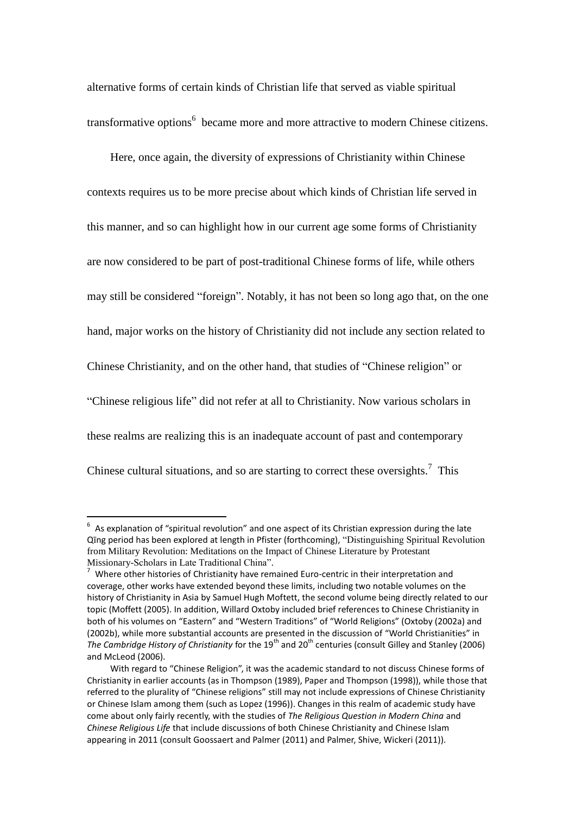alternative forms of certain kinds of Christian life that served as viable spiritual transformative options<sup>6</sup> became more and more attractive to modern Chinese citizens.

Here, once again, the diversity of expressions of Christianity within Chinese contexts requires us to be more precise about which kinds of Christian life served in this manner, and so can highlight how in our current age some forms of Christianity are now considered to be part of post-traditional Chinese forms of life, while others may still be considered "foreign". Notably, it has not been so long ago that, on the one hand, major works on the history of Christianity did not include any section related to Chinese Christianity, and on the other hand, that studies of "Chinese religion" or "Chinese religious life" did not refer at all to Christianity. Now various scholars in these realms are realizing this is an inadequate account of past and contemporary Chinese cultural situations, and so are starting to correct these oversights.<sup>7</sup> This

 6 As explanation of "spiritual revolution" and one aspect of its Christian expression during the late Qīng period has been explored at length in Pfister (forthcoming), "Distinguishing Spiritual Revolution from Military Revolution: Meditations on the Impact of Chinese Literature by Protestant Missionary-Scholars in Late Traditional China".

 $7$  Where other histories of Christianity have remained Euro-centric in their interpretation and coverage, other works have extended beyond these limits, including two notable volumes on the history of Christianity in Asia by Samuel Hugh Moftett, the second volume being directly related to our topic (Moffett (2005). In addition, Willard Oxtoby included brief references to Chinese Christianity in both of his volumes on "Eastern" and "Western Traditions" of "World Religions" (Oxtoby (2002a) and (2002b), while more substantial accounts are presented in the discussion of "World Christianities" in *The Cambridge History of Christianity* for the 19<sup>th</sup> and 20<sup>th</sup> centuries (consult Gilley and Stanley (2006) and McLeod (2006).

With regard to "Chinese Religion", it was the academic standard to not discuss Chinese forms of Christianity in earlier accounts (as in Thompson (1989), Paper and Thompson (1998)), while those that referred to the plurality of "Chinese religions" still may not include expressions of Chinese Christianity or Chinese Islam among them (such as Lopez (1996)). Changes in this realm of academic study have come about only fairly recently, with the studies of *The Religious Question in Modern China* and *Chinese Religious Life* that include discussions of both Chinese Christianity and Chinese Islam appearing in 2011 (consult Goossaert and Palmer (2011) and Palmer, Shive, Wickeri (2011)).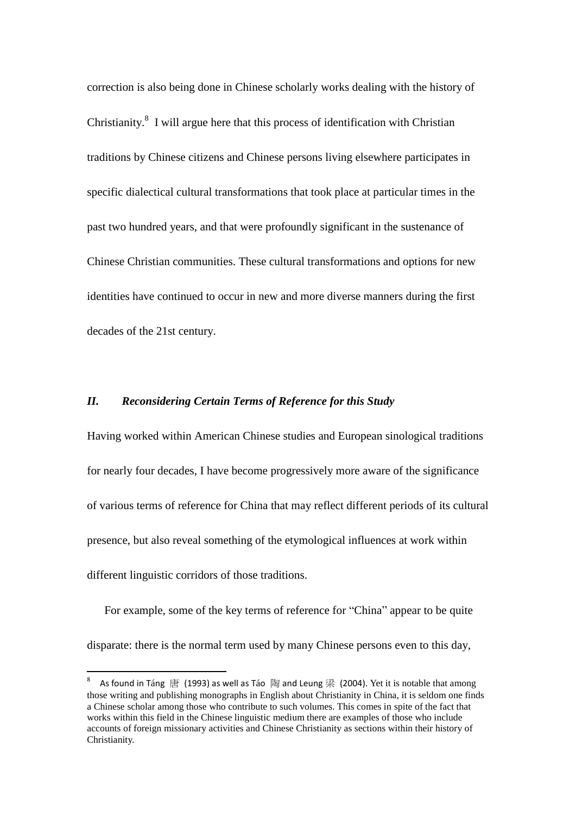correction is also being done in Chinese scholarly works dealing with the history of Christianity.<sup>8</sup> I will argue here that this process of identification with Christian traditions by Chinese citizens and Chinese persons living elsewhere participates in specific dialectical cultural transformations that took place at particular times in the past two hundred years, and that were profoundly significant in the sustenance of Chinese Christian communities. These cultural transformations and options for new identities have continued to occur in new and more diverse manners during the first decades of the 21st century.

### *II. Reconsidering Certain Terms of Reference for this Study*

Having worked within American Chinese studies and European sinological traditions for nearly four decades, I have become progressively more aware of the significance of various terms of reference for China that may reflect different periods of its cultural presence, but also reveal something of the etymological influences at work within different linguistic corridors of those traditions.

For example, some of the key terms of reference for "China" appear to be quite disparate: there is the normal term used by many Chinese persons even to this day,

<sup>8</sup> As found in Táng 唐 (1993) as well as Táo 陶 and Leung 梁 (2004). Yet it is notable that among those writing and publishing monographs in English about Christianity in China, it is seldom one finds a Chinese scholar among those who contribute to such volumes. This comes in spite of the fact that works within this field in the Chinese linguistic medium there are examples of those who include accounts of foreign missionary activities and Chinese Christianity as sections within their history of Christianity.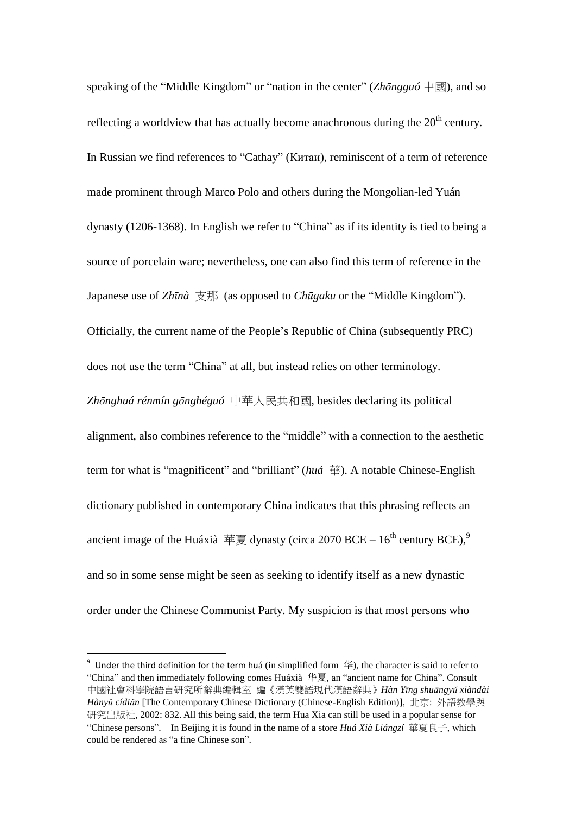speaking of the "Middle Kingdom" or "nation in the center" (*Zhōngguó* 中國), and so reflecting a worldview that has actually become anachronous during the  $20<sup>th</sup>$  century. In Russian we find references to "Cathay" (Китаи), reminiscent of a term of reference made prominent through Marco Polo and others during the Mongolian-led Yuán dynasty (1206-1368). In English we refer to "China" as if its identity is tied to being a source of porcelain ware; nevertheless, one can also find this term of reference in the Japanese use of *Zhīnà* 支那 (as opposed to *Chūgaku* or the "Middle Kingdom"). Officially, the current name of the People's Republic of China (subsequently PRC) does not use the term "China" at all, but instead relies on other terminology. *Zhōnghuá rénmín gōnghéguó* 中華人民共和國, besides declaring its political alignment, also combines reference to the "middle" with a connection to the aesthetic term for what is "magnificent" and "brilliant" (*huá* 華). A notable Chinese-English dictionary published in contemporary China indicates that this phrasing reflects an ancient image of the Huáxià 華夏 dynasty (circa 2070 BCE – 16<sup>th</sup> century BCE),<sup>9</sup> and so in some sense might be seen as seeking to identify itself as a new dynastic order under the Chinese Communist Party. My suspicion is that most persons who

<sup>&</sup>lt;sup>9</sup> Under the third definition for the term huá (in simplified form  $\#$ ), the character is said to refer to "China" and then immediately following comes Huáxià 华夏, an "ancient name for China". Consult 中國社會科學院語言研究所辭典編輯室 編《漢英雙語現代漢語辭典》*Hàn Yīng shuāngyǔ xiàndài Hànyǔ cídiǎn* [The Contemporary Chinese Dictionary (Chinese-English Edition)], 北京: 外語教學與 研究出版社, 2002: 832. All this being said, the term Hua Xia can still be used in a popular sense for "Chinese persons". In Beijing it is found in the name of a store *Huá Xià Liángzí* 華夏良子, which could be rendered as "a fine Chinese son".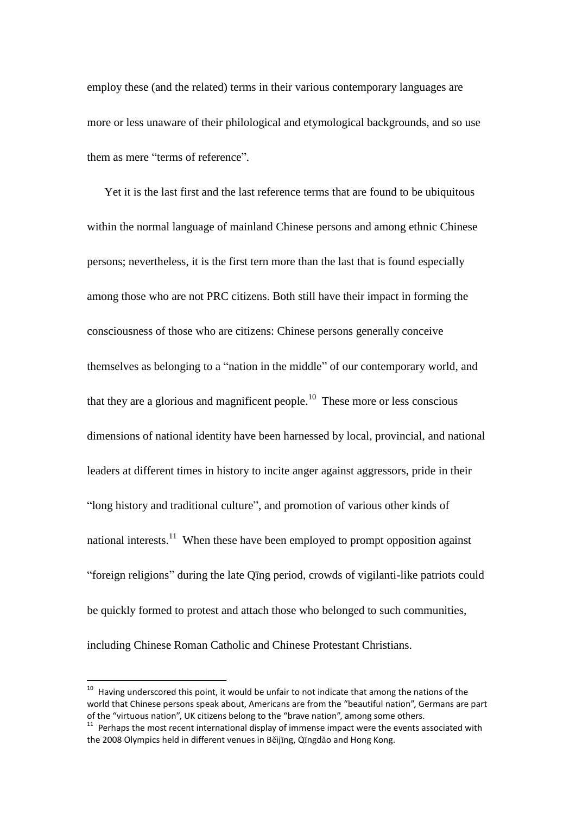employ these (and the related) terms in their various contemporary languages are more or less unaware of their philological and etymological backgrounds, and so use them as mere "terms of reference".

Yet it is the last first and the last reference terms that are found to be ubiquitous within the normal language of mainland Chinese persons and among ethnic Chinese persons; nevertheless, it is the first tern more than the last that is found especially among those who are not PRC citizens. Both still have their impact in forming the consciousness of those who are citizens: Chinese persons generally conceive themselves as belonging to a "nation in the middle" of our contemporary world, and that they are a glorious and magnificent people.<sup>10</sup> These more or less conscious dimensions of national identity have been harnessed by local, provincial, and national leaders at different times in history to incite anger against aggressors, pride in their "long history and traditional culture", and promotion of various other kinds of national interests.<sup>11</sup> When these have been employed to prompt opposition against "foreign religions" during the late Qīng period, crowds of vigilanti-like patriots could be quickly formed to protest and attach those who belonged to such communities, including Chinese Roman Catholic and Chinese Protestant Christians.

 $10$  Having underscored this point, it would be unfair to not indicate that among the nations of the world that Chinese persons speak about, Americans are from the "beautiful nation", Germans are part of the "virtuous nation", UK citizens belong to the "brave nation", among some others.

 $11$  Perhaps the most recent international display of immense impact were the events associated with the 2008 Olympics held in different venues in Běijīng, Qīngdǎo and Hong Kong.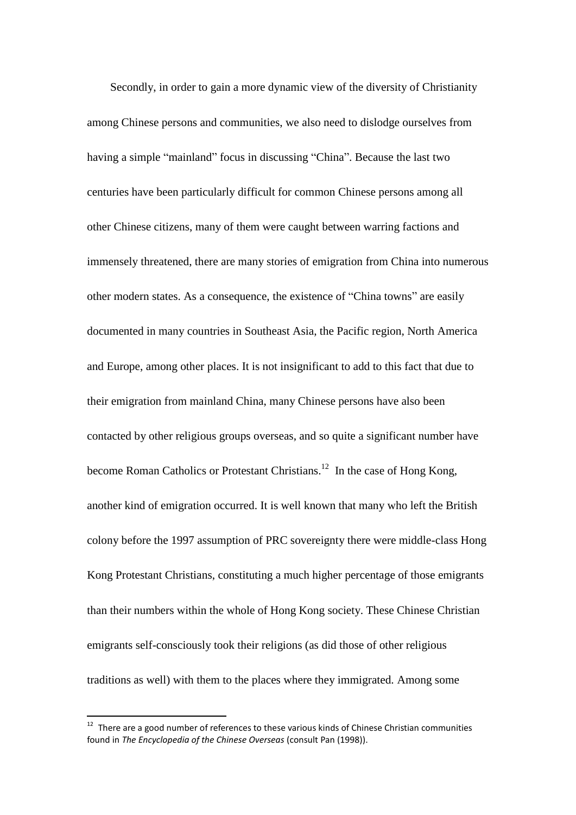Secondly, in order to gain a more dynamic view of the diversity of Christianity among Chinese persons and communities, we also need to dislodge ourselves from having a simple "mainland" focus in discussing "China". Because the last two centuries have been particularly difficult for common Chinese persons among all other Chinese citizens, many of them were caught between warring factions and immensely threatened, there are many stories of emigration from China into numerous other modern states. As a consequence, the existence of "China towns" are easily documented in many countries in Southeast Asia, the Pacific region, North America and Europe, among other places. It is not insignificant to add to this fact that due to their emigration from mainland China, many Chinese persons have also been contacted by other religious groups overseas, and so quite a significant number have become Roman Catholics or Protestant Christians.<sup>12</sup> In the case of Hong Kong, another kind of emigration occurred. It is well known that many who left the British colony before the 1997 assumption of PRC sovereignty there were middle-class Hong Kong Protestant Christians, constituting a much higher percentage of those emigrants than their numbers within the whole of Hong Kong society. These Chinese Christian emigrants self-consciously took their religions (as did those of other religious traditions as well) with them to the places where they immigrated. Among some

 $12$  There are a good number of references to these various kinds of Chinese Christian communities found in *The Encyclopedia of the Chinese Overseas* (consult Pan (1998)).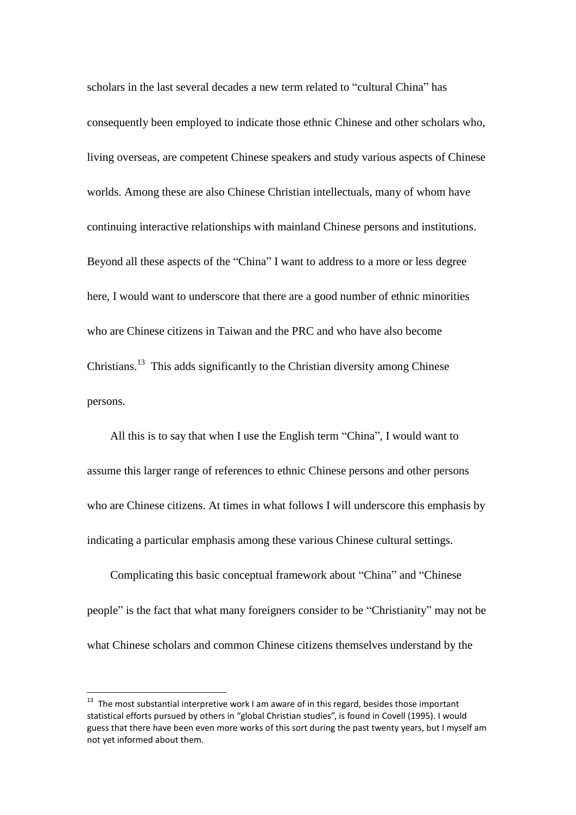scholars in the last several decades a new term related to "cultural China" has consequently been employed to indicate those ethnic Chinese and other scholars who, living overseas, are competent Chinese speakers and study various aspects of Chinese worlds. Among these are also Chinese Christian intellectuals, many of whom have continuing interactive relationships with mainland Chinese persons and institutions. Beyond all these aspects of the "China" I want to address to a more or less degree here, I would want to underscore that there are a good number of ethnic minorities who are Chinese citizens in Taiwan and the PRC and who have also become Christians.<sup>13</sup> This adds significantly to the Christian diversity among Chinese persons.

All this is to say that when I use the English term "China", I would want to assume this larger range of references to ethnic Chinese persons and other persons who are Chinese citizens. At times in what follows I will underscore this emphasis by indicating a particular emphasis among these various Chinese cultural settings.

Complicating this basic conceptual framework about "China" and "Chinese people" is the fact that what many foreigners consider to be "Christianity" may not be what Chinese scholars and common Chinese citizens themselves understand by the

 $13$  The most substantial interpretive work I am aware of in this regard, besides those important statistical efforts pursued by others in "global Christian studies", is found in Covell (1995). I would guess that there have been even more works of this sort during the past twenty years, but I myself am not yet informed about them.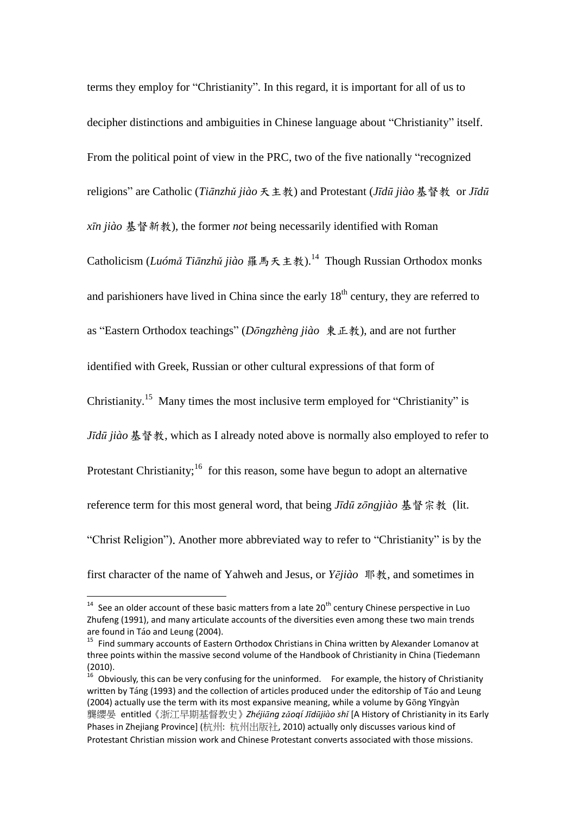terms they employ for "Christianity". In this regard, it is important for all of us to decipher distinctions and ambiguities in Chinese language about "Christianity" itself. From the political point of view in the PRC, two of the five nationally "recognized religions" are Catholic (*Tiānzhǔ jiào*天主教) and Protestant (*Jīdū jiào*基督教 or *Jīdū xīn jiào* 基督新教), the former *not* being necessarily identified with Roman Catholicism (*Luómǎ Tiānzhǔ jiào* 羅馬天主教).<sup>14</sup> Though Russian Orthodox monks and parishioners have lived in China since the early  $18<sup>th</sup>$  century, they are referred to as "Eastern Orthodox teachings" (*Dōngzhèng jiào* 東正教), and are not further identified with Greek, Russian or other cultural expressions of that form of Christianity.<sup>15</sup> Many times the most inclusive term employed for "Christianity" is *Jīdū jiào*基督教, which as I already noted above is normally also employed to refer to Protestant Christianity;<sup>16</sup> for this reason, some have begun to adopt an alternative reference term for this most general word, that being *Jīdū zōngjiào* 基督宗教 (lit. "Christ Religion"). Another more abbreviated way to refer to "Christianity" is by the first character of the name of Yahweh and Jesus, or *Yējiào* 耶教, and sometimes in

 $14$  See an older account of these basic matters from a late 20<sup>th</sup> century Chinese perspective in Luo Zhufeng (1991), and many articulate accounts of the diversities even among these two main trends are found in Táo and Leung (2004).

<sup>&</sup>lt;sup>15</sup> Find summary accounts of Eastern Orthodox Christians in China written by Alexander Lomanov at three points within the massive second volume of the Handbook of Christianity in China (Tiedemann (2010).

 $16$  Obviously, this can be very confusing for the uninformed. For example, the history of Christianity written by Táng (1993) and the collection of articles produced under the editorship of Táo and Leung (2004) actually use the term with its most expansive meaning, while a volume by Gōng Yīngyàn 龔纓晏 entitled《浙江早期基督教史》*Zhéjiāng zǎoqí Jīdūjiào shǐ* [A History of Christianity in its Early Phases in Zhejiang Province] (杭州: 杭州出版社, 2010) actually only discusses various kind of Protestant Christian mission work and Chinese Protestant converts associated with those missions.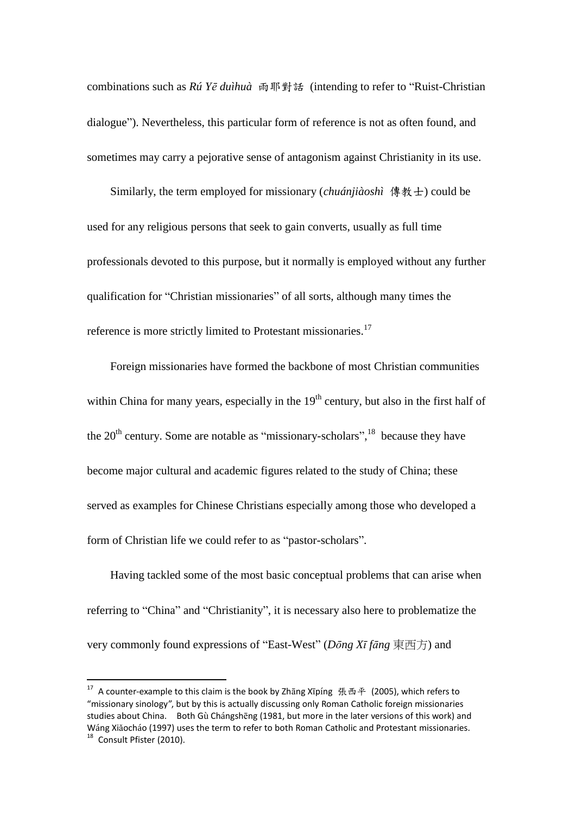combinations such as *Rú Yē duìhuà* 雨耶對話 (intending to refer to "Ruist-Christian dialogue"). Nevertheless, this particular form of reference is not as often found, and sometimes may carry a pejorative sense of antagonism against Christianity in its use.

Similarly, the term employed for missionary (*chuánjiàoshì* 傳教士) could be used for any religious persons that seek to gain converts, usually as full time professionals devoted to this purpose, but it normally is employed without any further qualification for "Christian missionaries" of all sorts, although many times the reference is more strictly limited to Protestant missionaries.<sup>17</sup>

Foreign missionaries have formed the backbone of most Christian communities within China for many years, especially in the  $19<sup>th</sup>$  century, but also in the first half of the  $20<sup>th</sup>$  century. Some are notable as "missionary-scholars",  $^{18}$  because they have become major cultural and academic figures related to the study of China; these served as examples for Chinese Christians especially among those who developed a form of Christian life we could refer to as "pastor-scholars".

Having tackled some of the most basic conceptual problems that can arise when referring to "China" and "Christianity", it is necessary also here to problematize the very commonly found expressions of "East-West" (*Dōng Xī fāng* 東西方) and

<sup>&</sup>lt;sup>17</sup> A counter-example to this claim is the book by Zhāng Xīpíng 張西平 (2005), which refers to "missionary sinology", but by this is actually discussing only Roman Catholic foreign missionaries studies about China. Both Gù Chángshēng (1981, but more in the later versions of this work) and Wáng Xiǎocháo (1997) uses the term to refer to both Roman Catholic and Protestant missionaries. <sup>18</sup> Consult Pfister (2010).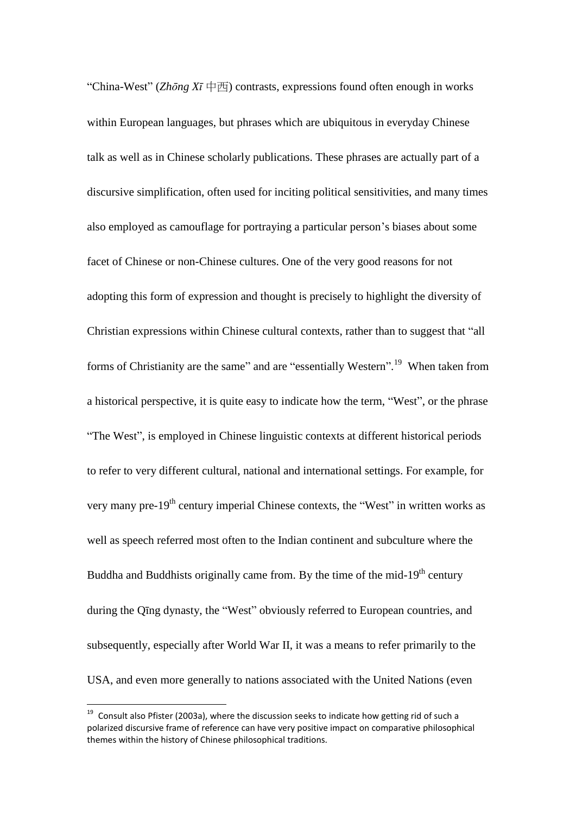"China-West" (*Zhōng Xī* 中西) contrasts, expressions found often enough in works within European languages, but phrases which are ubiquitous in everyday Chinese talk as well as in Chinese scholarly publications. These phrases are actually part of a discursive simplification, often used for inciting political sensitivities, and many times also employed as camouflage for portraying a particular person's biases about some facet of Chinese or non-Chinese cultures. One of the very good reasons for not adopting this form of expression and thought is precisely to highlight the diversity of Christian expressions within Chinese cultural contexts, rather than to suggest that "all forms of Christianity are the same" and are "essentially Western".<sup>19</sup> When taken from a historical perspective, it is quite easy to indicate how the term, "West", or the phrase "The West", is employed in Chinese linguistic contexts at different historical periods to refer to very different cultural, national and international settings. For example, for very many pre-19<sup>th</sup> century imperial Chinese contexts, the "West" in written works as well as speech referred most often to the Indian continent and subculture where the Buddha and Buddhists originally came from. By the time of the mid-19<sup>th</sup> century during the Qīng dynasty, the "West" obviously referred to European countries, and subsequently, especially after World War II, it was a means to refer primarily to the USA, and even more generally to nations associated with the United Nations (even

 $19$  Consult also Pfister (2003a), where the discussion seeks to indicate how getting rid of such a polarized discursive frame of reference can have very positive impact on comparative philosophical themes within the history of Chinese philosophical traditions.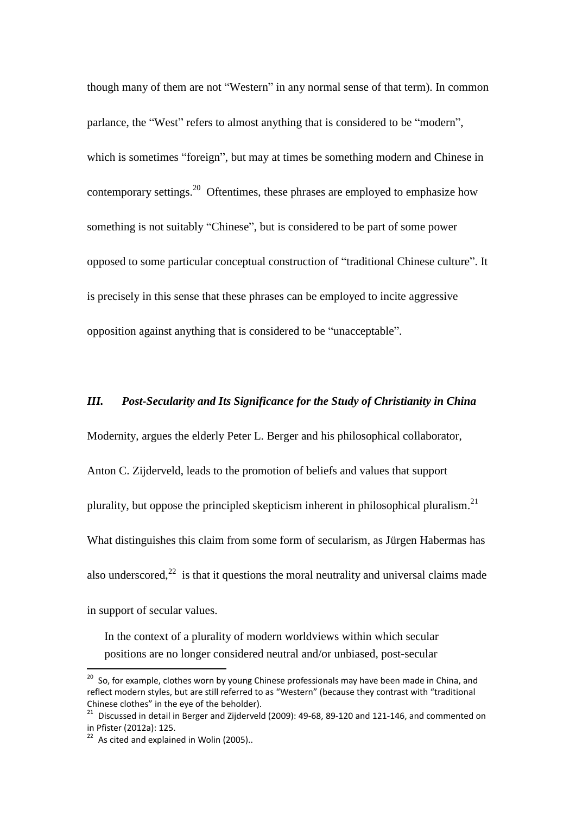though many of them are not "Western" in any normal sense of that term). In common parlance, the "West" refers to almost anything that is considered to be "modern", which is sometimes "foreign", but may at times be something modern and Chinese in contemporary settings.<sup>20</sup> Oftentimes, these phrases are employed to emphasize how something is not suitably "Chinese", but is considered to be part of some power opposed to some particular conceptual construction of "traditional Chinese culture". It is precisely in this sense that these phrases can be employed to incite aggressive opposition against anything that is considered to be "unacceptable".

### *III. Post-Secularity and Its Significance for the Study of Christianity in China*

Modernity, argues the elderly Peter L. Berger and his philosophical collaborator,

Anton C. Zijderveld, leads to the promotion of beliefs and values that support

plurality, but oppose the principled skepticism inherent in philosophical pluralism.<sup>21</sup>

What distinguishes this claim from some form of secularism, as Jürgen Habermas has

also underscored, $^{22}$  is that it questions the moral neutrality and universal claims made

in support of secular values.

1

In the context of a plurality of modern worldviews within which secular positions are no longer considered neutral and/or unbiased, post-secular

<sup>&</sup>lt;sup>20</sup> So, for example, clothes worn by young Chinese professionals may have been made in China, and reflect modern styles, but are still referred to as "Western" (because they contrast with "traditional Chinese clothes" in the eye of the beholder).

 $^{21}$  Discussed in detail in Berger and Zijderveld (2009): 49-68, 89-120 and 121-146, and commented on in Pfister (2012a): 125.

 $22$  As cited and explained in Wolin (2005).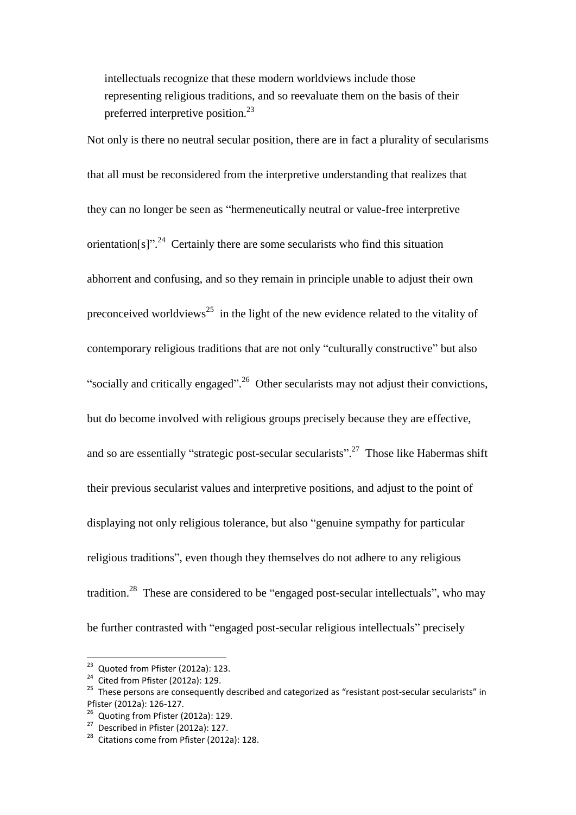intellectuals recognize that these modern worldviews include those representing religious traditions, and so reevaluate them on the basis of their preferred interpretive position.<sup>23</sup>

Not only is there no neutral secular position, there are in fact a plurality of secularisms that all must be reconsidered from the interpretive understanding that realizes that they can no longer be seen as "hermeneutically neutral or value-free interpretive orientation[s]".<sup>24</sup> Certainly there are some secularists who find this situation abhorrent and confusing, and so they remain in principle unable to adjust their own preconceived worldviews<sup>25</sup> in the light of the new evidence related to the vitality of contemporary religious traditions that are not only "culturally constructive" but also "socially and critically engaged".<sup>26</sup> Other secularists may not adjust their convictions, but do become involved with religious groups precisely because they are effective, and so are essentially "strategic post-secular secularists".<sup>27</sup> Those like Habermas shift their previous secularist values and interpretive positions, and adjust to the point of displaying not only religious tolerance, but also "genuine sympathy for particular religious traditions", even though they themselves do not adhere to any religious tradition.<sup>28</sup> These are considered to be "engaged post-secular intellectuals", who may be further contrasted with "engaged post-secular religious intellectuals" precisely

 $23$  Quoted from Pfister (2012a): 123.

<sup>&</sup>lt;sup>24</sup> Cited from Pfister (2012a): 129.

<sup>&</sup>lt;sup>25</sup> These persons are consequently described and categorized as "resistant post-secular secularists" in Pfister (2012a): 126-127.

<sup>&</sup>lt;sup>26</sup> Quoting from Pfister (2012a): 129.

<sup>27</sup> Described in Pfister (2012a): 127.

<sup>&</sup>lt;sup>28</sup> Citations come from Pfister (2012a): 128.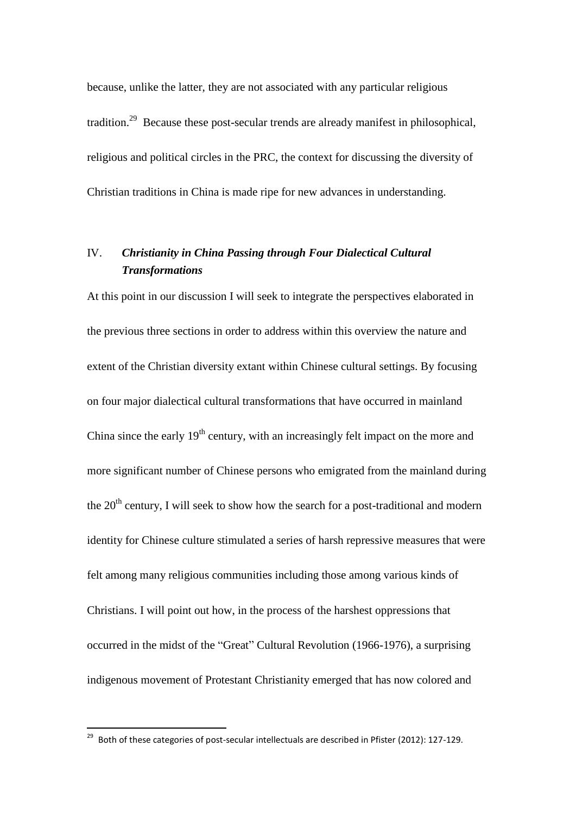because, unlike the latter, they are not associated with any particular religious tradition.<sup>29</sup> Because these post-secular trends are already manifest in philosophical, religious and political circles in the PRC, the context for discussing the diversity of Christian traditions in China is made ripe for new advances in understanding.

# IV. *Christianity in China Passing through Four Dialectical Cultural Transformations*

At this point in our discussion I will seek to integrate the perspectives elaborated in the previous three sections in order to address within this overview the nature and extent of the Christian diversity extant within Chinese cultural settings. By focusing on four major dialectical cultural transformations that have occurred in mainland China since the early  $19<sup>th</sup>$  century, with an increasingly felt impact on the more and more significant number of Chinese persons who emigrated from the mainland during the  $20<sup>th</sup>$  century, I will seek to show how the search for a post-traditional and modern identity for Chinese culture stimulated a series of harsh repressive measures that were felt among many religious communities including those among various kinds of Christians. I will point out how, in the process of the harshest oppressions that occurred in the midst of the "Great" Cultural Revolution (1966-1976), a surprising indigenous movement of Protestant Christianity emerged that has now colored and

 $^{29}$  Both of these categories of post-secular intellectuals are described in Pfister (2012): 127-129.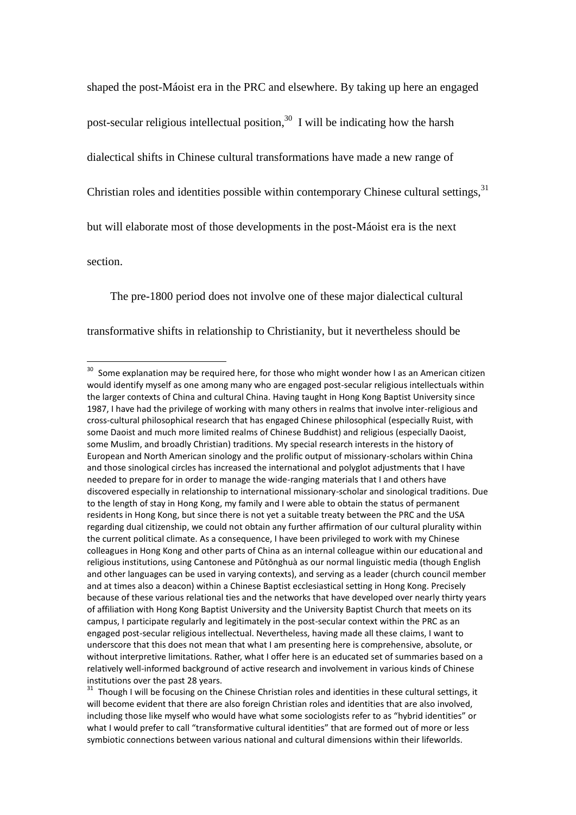shaped the post-Máoist era in the PRC and elsewhere. By taking up here an engaged post-secular religious intellectual position,  $30\,$  I will be indicating how the harsh dialectical shifts in Chinese cultural transformations have made a new range of Christian roles and identities possible within contemporary Chinese cultural settings,  $31$ but will elaborate most of those developments in the post-Máoist era is the next section.

The pre-1800 period does not involve one of these major dialectical cultural

transformative shifts in relationship to Christianity, but it nevertheless should be

 $30$  Some explanation may be required here, for those who might wonder how I as an American citizen would identify myself as one among many who are engaged post-secular religious intellectuals within the larger contexts of China and cultural China. Having taught in Hong Kong Baptist University since 1987, I have had the privilege of working with many others in realms that involve inter-religious and cross-cultural philosophical research that has engaged Chinese philosophical (especially Ruist, with some Daoist and much more limited realms of Chinese Buddhist) and religious (especially Daoist, some Muslim, and broadly Christian) traditions. My special research interests in the history of European and North American sinology and the prolific output of missionary-scholars within China and those sinological circles has increased the international and polyglot adjustments that I have needed to prepare for in order to manage the wide-ranging materials that I and others have discovered especially in relationship to international missionary-scholar and sinological traditions. Due to the length of stay in Hong Kong, my family and I were able to obtain the status of permanent residents in Hong Kong, but since there is not yet a suitable treaty between the PRC and the USA regarding dual citizenship, we could not obtain any further affirmation of our cultural plurality within the current political climate. As a consequence, I have been privileged to work with my Chinese colleagues in Hong Kong and other parts of China as an internal colleague within our educational and religious institutions, using Cantonese and Pǔtōnghuà as our normal linguistic media (though English and other languages can be used in varying contexts), and serving as a leader (church council member and at times also a deacon) within a Chinese Baptist ecclesiastical setting in Hong Kong. Precisely because of these various relational ties and the networks that have developed over nearly thirty years of affiliation with Hong Kong Baptist University and the University Baptist Church that meets on its campus, I participate regularly and legitimately in the post-secular context within the PRC as an engaged post-secular religious intellectual. Nevertheless, having made all these claims, I want to underscore that this does not mean that what I am presenting here is comprehensive, absolute, or without interpretive limitations. Rather, what I offer here is an educated set of summaries based on a relatively well-informed background of active research and involvement in various kinds of Chinese institutions over the past 28 years.

<sup>&</sup>lt;sup>31</sup> Though I will be focusing on the Chinese Christian roles and identities in these cultural settings, it will become evident that there are also foreign Christian roles and identities that are also involved, including those like myself who would have what some sociologists refer to as "hybrid identities" or what I would prefer to call "transformative cultural identities" that are formed out of more or less symbiotic connections between various national and cultural dimensions within their lifeworlds.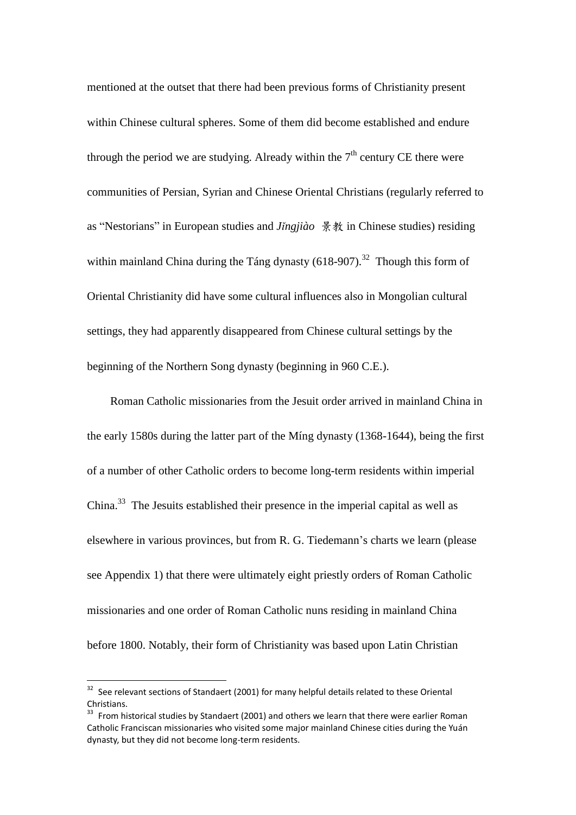mentioned at the outset that there had been previous forms of Christianity present within Chinese cultural spheres. Some of them did become established and endure through the period we are studying. Already within the  $7<sup>th</sup>$  century CE there were communities of Persian, Syrian and Chinese Oriental Christians (regularly referred to as "Nestorians" in European studies and *Jǐngjiào* 景教 in Chinese studies) residing within mainland China during the Táng dynasty  $(618-907)$ .<sup>32</sup> Though this form of Oriental Christianity did have some cultural influences also in Mongolian cultural settings, they had apparently disappeared from Chinese cultural settings by the beginning of the Northern Song dynasty (beginning in 960 C.E.).

Roman Catholic missionaries from the Jesuit order arrived in mainland China in the early 1580s during the latter part of the Míng dynasty (1368-1644), being the first of a number of other Catholic orders to become long-term residents within imperial China.<sup>33</sup> The Jesuits established their presence in the imperial capital as well as elsewhere in various provinces, but from R. G. Tiedemann's charts we learn (please see Appendix 1) that there were ultimately eight priestly orders of Roman Catholic missionaries and one order of Roman Catholic nuns residing in mainland China before 1800. Notably, their form of Christianity was based upon Latin Christian

<sup>&</sup>lt;sup>32</sup> See relevant sections of Standaert (2001) for many helpful details related to these Oriental Christians.

 $33$  From historical studies by Standaert (2001) and others we learn that there were earlier Roman Catholic Franciscan missionaries who visited some major mainland Chinese cities during the Yuán dynasty, but they did not become long-term residents.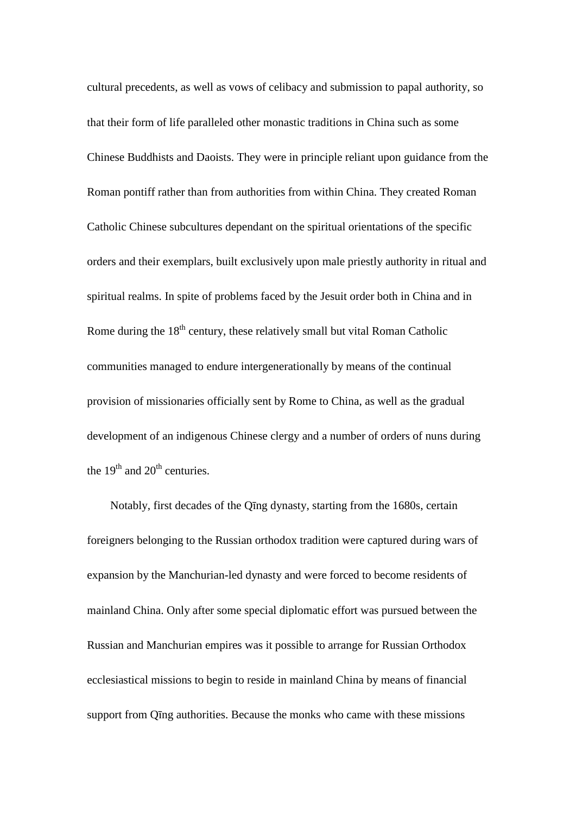cultural precedents, as well as vows of celibacy and submission to papal authority, so that their form of life paralleled other monastic traditions in China such as some Chinese Buddhists and Daoists. They were in principle reliant upon guidance from the Roman pontiff rather than from authorities from within China. They created Roman Catholic Chinese subcultures dependant on the spiritual orientations of the specific orders and their exemplars, built exclusively upon male priestly authority in ritual and spiritual realms. In spite of problems faced by the Jesuit order both in China and in Rome during the  $18<sup>th</sup>$  century, these relatively small but vital Roman Catholic communities managed to endure intergenerationally by means of the continual provision of missionaries officially sent by Rome to China, as well as the gradual development of an indigenous Chinese clergy and a number of orders of nuns during the  $19<sup>th</sup>$  and  $20<sup>th</sup>$  centuries.

Notably, first decades of the Qīng dynasty, starting from the 1680s, certain foreigners belonging to the Russian orthodox tradition were captured during wars of expansion by the Manchurian-led dynasty and were forced to become residents of mainland China. Only after some special diplomatic effort was pursued between the Russian and Manchurian empires was it possible to arrange for Russian Orthodox ecclesiastical missions to begin to reside in mainland China by means of financial support from Qīng authorities. Because the monks who came with these missions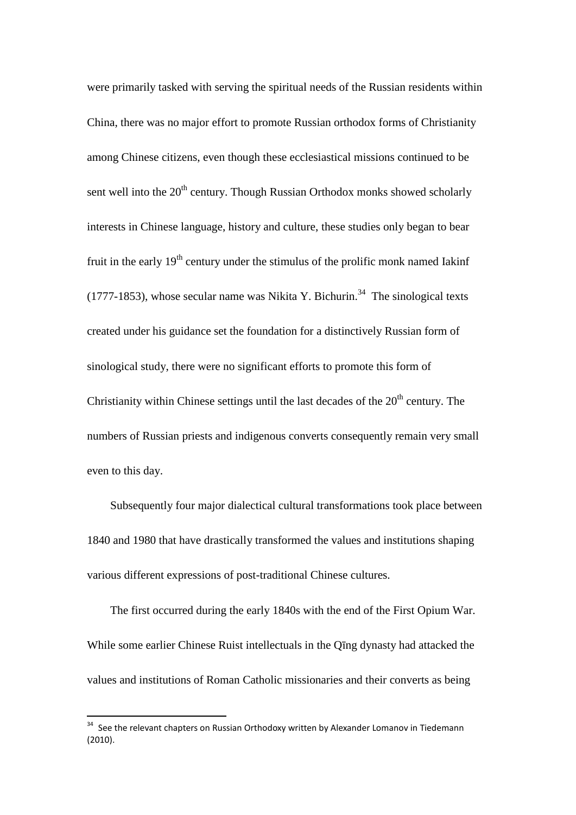were primarily tasked with serving the spiritual needs of the Russian residents within China, there was no major effort to promote Russian orthodox forms of Christianity among Chinese citizens, even though these ecclesiastical missions continued to be sent well into the  $20<sup>th</sup>$  century. Though Russian Orthodox monks showed scholarly interests in Chinese language, history and culture, these studies only began to bear fruit in the early  $19<sup>th</sup>$  century under the stimulus of the prolific monk named Iakinf  $(1777-1853)$ , whose secular name was Nikita Y. Bichurin.<sup>34</sup> The sinological texts created under his guidance set the foundation for a distinctively Russian form of sinological study, there were no significant efforts to promote this form of Christianity within Chinese settings until the last decades of the  $20<sup>th</sup>$  century. The numbers of Russian priests and indigenous converts consequently remain very small even to this day.

Subsequently four major dialectical cultural transformations took place between 1840 and 1980 that have drastically transformed the values and institutions shaping various different expressions of post-traditional Chinese cultures.

The first occurred during the early 1840s with the end of the First Opium War. While some earlier Chinese Ruist intellectuals in the Qīng dynasty had attacked the values and institutions of Roman Catholic missionaries and their converts as being

<sup>&</sup>lt;sup>34</sup> See the relevant chapters on Russian Orthodoxy written by Alexander Lomanov in Tiedemann (2010).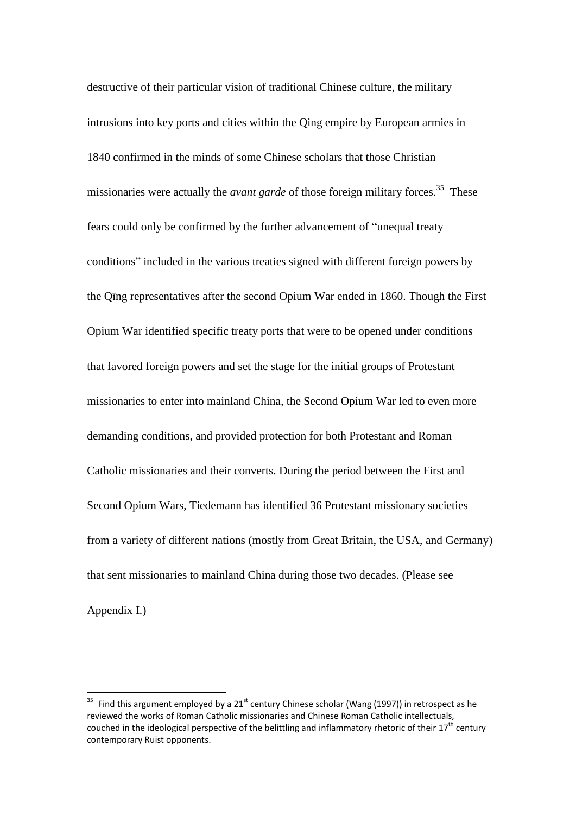destructive of their particular vision of traditional Chinese culture, the military intrusions into key ports and cities within the Qing empire by European armies in 1840 confirmed in the minds of some Chinese scholars that those Christian missionaries were actually the *avant garde* of those foreign military forces.<sup>35</sup> These fears could only be confirmed by the further advancement of "unequal treaty conditions" included in the various treaties signed with different foreign powers by the Qīng representatives after the second Opium War ended in 1860. Though the First Opium War identified specific treaty ports that were to be opened under conditions that favored foreign powers and set the stage for the initial groups of Protestant missionaries to enter into mainland China, the Second Opium War led to even more demanding conditions, and provided protection for both Protestant and Roman Catholic missionaries and their converts. During the period between the First and Second Opium Wars, Tiedemann has identified 36 Protestant missionary societies from a variety of different nations (mostly from Great Britain, the USA, and Germany) that sent missionaries to mainland China during those two decades. (Please see Appendix I.)

 $35$  Find this argument employed by a 21<sup>st</sup> century Chinese scholar (Wang (1997)) in retrospect as he reviewed the works of Roman Catholic missionaries and Chinese Roman Catholic intellectuals, couched in the ideological perspective of the belittling and inflammatory rhetoric of their 17<sup>th</sup> century contemporary Ruist opponents.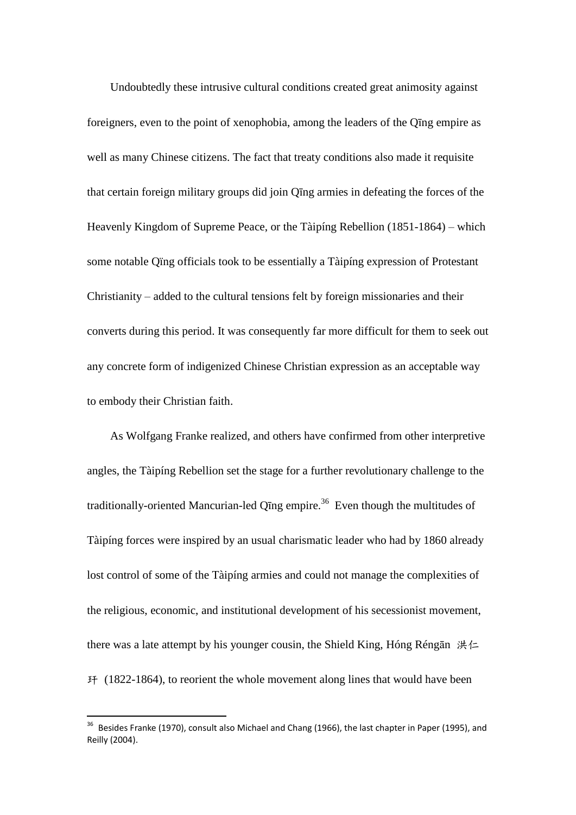Undoubtedly these intrusive cultural conditions created great animosity against foreigners, even to the point of xenophobia, among the leaders of the Qīng empire as well as many Chinese citizens. The fact that treaty conditions also made it requisite that certain foreign military groups did join Qīng armies in defeating the forces of the Heavenly Kingdom of Supreme Peace, or the Tàipíng Rebellion (1851-1864) – which some notable Qïng officials took to be essentially a Tàipíng expression of Protestant Christianity – added to the cultural tensions felt by foreign missionaries and their converts during this period. It was consequently far more difficult for them to seek out any concrete form of indigenized Chinese Christian expression as an acceptable way to embody their Christian faith.

As Wolfgang Franke realized, and others have confirmed from other interpretive angles, the Tàipíng Rebellion set the stage for a further revolutionary challenge to the traditionally-oriented Mancurian-led Qīng empire.<sup>36</sup> Even though the multitudes of Tàipíng forces were inspired by an usual charismatic leader who had by 1860 already lost control of some of the Tàipíng armies and could not manage the complexities of the religious, economic, and institutional development of his secessionist movement, there was a late attempt by his younger cousin, the Shield King, Hóng Réngān 洪仁 玕 (1822-1864), to reorient the whole movement along lines that would have been

 $36$  Besides Franke (1970), consult also Michael and Chang (1966), the last chapter in Paper (1995), and Reilly (2004).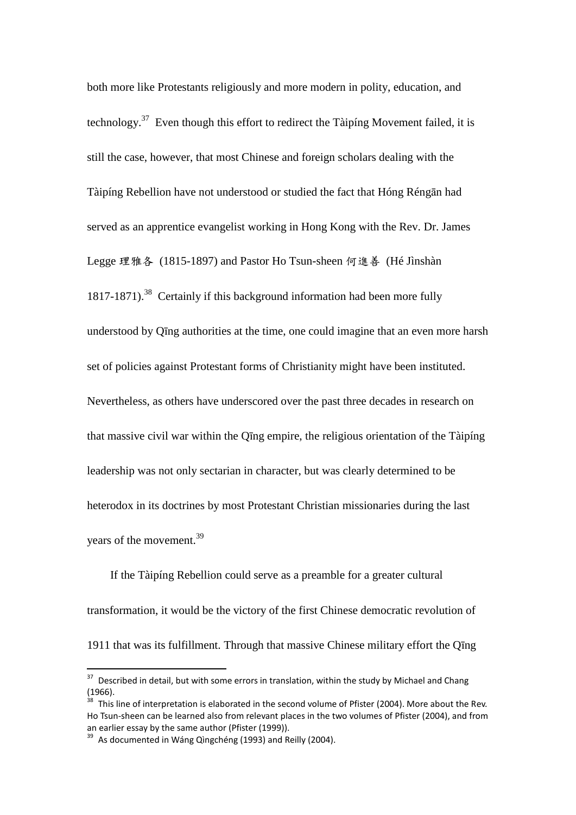both more like Protestants religiously and more modern in polity, education, and technology.<sup>37</sup> Even though this effort to redirect the Tàipíng Movement failed, it is still the case, however, that most Chinese and foreign scholars dealing with the Tàipíng Rebellion have not understood or studied the fact that Hóng Réngān had served as an apprentice evangelist working in Hong Kong with the Rev. Dr. James Legge 理雅各 (1815-1897) and Pastor Ho Tsun-sheen 何進善 (Hé Jìnshàn 1817-1871).<sup>38</sup> Certainly if this background information had been more fully understood by Qīng authorities at the time, one could imagine that an even more harsh set of policies against Protestant forms of Christianity might have been instituted. Nevertheless, as others have underscored over the past three decades in research on that massive civil war within the Qīng empire, the religious orientation of the Tàipíng leadership was not only sectarian in character, but was clearly determined to be heterodox in its doctrines by most Protestant Christian missionaries during the last years of the movement.<sup>39</sup>

If the Tàipíng Rebellion could serve as a preamble for a greater cultural transformation, it would be the victory of the first Chinese democratic revolution of 1911 that was its fulfillment. Through that massive Chinese military effort the Qīng

 $37$  Described in detail, but with some errors in translation, within the study by Michael and Chang (1966).

 $38$  This line of interpretation is elaborated in the second volume of Pfister (2004). More about the Rev. Ho Tsun-sheen can be learned also from relevant places in the two volumes of Pfister (2004), and from an earlier essay by the same author (Pfister (1999)).

 $39$  As documented in Wáng Qìngchéng (1993) and Reilly (2004).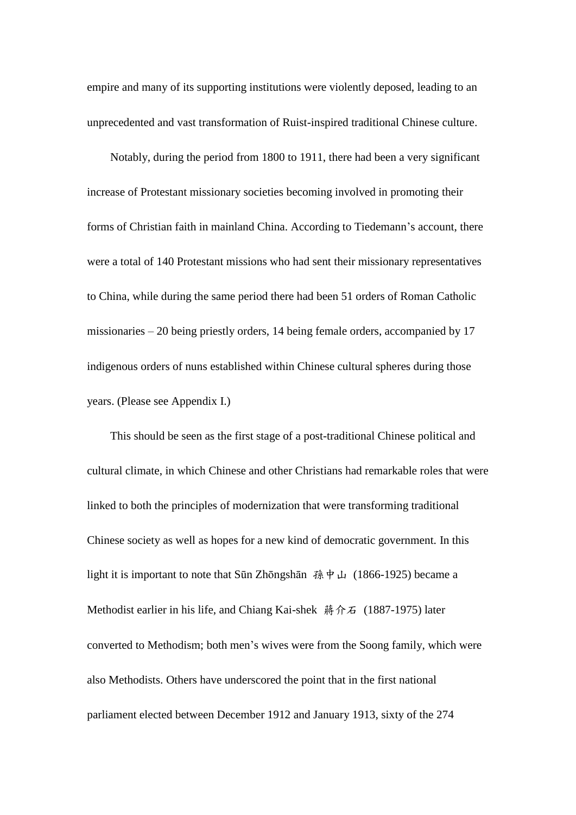empire and many of its supporting institutions were violently deposed, leading to an unprecedented and vast transformation of Ruist-inspired traditional Chinese culture.

Notably, during the period from 1800 to 1911, there had been a very significant increase of Protestant missionary societies becoming involved in promoting their forms of Christian faith in mainland China. According to Tiedemann's account, there were a total of 140 Protestant missions who had sent their missionary representatives to China, while during the same period there had been 51 orders of Roman Catholic missionaries – 20 being priestly orders, 14 being female orders, accompanied by 17 indigenous orders of nuns established within Chinese cultural spheres during those years. (Please see Appendix I.)

This should be seen as the first stage of a post-traditional Chinese political and cultural climate, in which Chinese and other Christians had remarkable roles that were linked to both the principles of modernization that were transforming traditional Chinese society as well as hopes for a new kind of democratic government. In this light it is important to note that Sūn Zhōngshān 孫中山 (1866-1925) became a Methodist earlier in his life, and Chiang Kai-shek 蔣介石 (1887-1975) later converted to Methodism; both men's wives were from the Soong family, which were also Methodists. Others have underscored the point that in the first national parliament elected between December 1912 and January 1913, sixty of the 274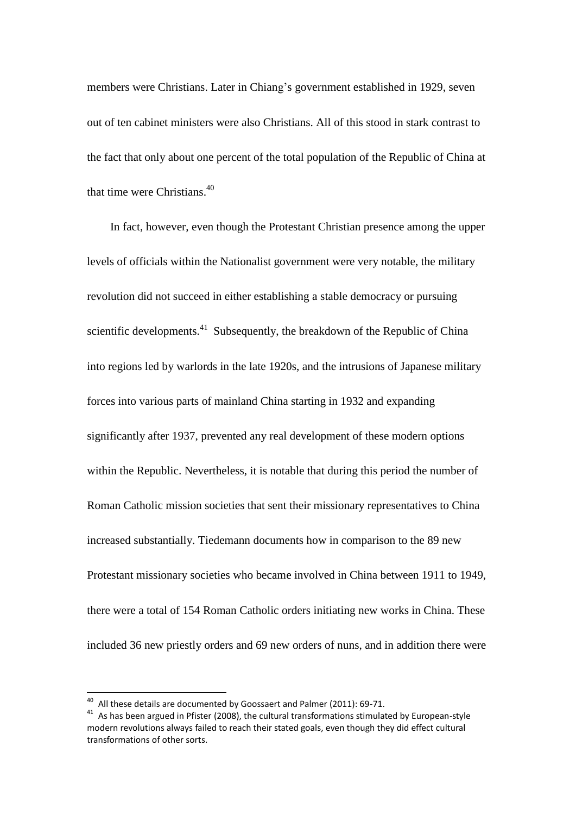members were Christians. Later in Chiang's government established in 1929, seven out of ten cabinet ministers were also Christians. All of this stood in stark contrast to the fact that only about one percent of the total population of the Republic of China at that time were Christians.<sup>40</sup>

In fact, however, even though the Protestant Christian presence among the upper levels of officials within the Nationalist government were very notable, the military revolution did not succeed in either establishing a stable democracy or pursuing scientific developments. $41$  Subsequently, the breakdown of the Republic of China into regions led by warlords in the late 1920s, and the intrusions of Japanese military forces into various parts of mainland China starting in 1932 and expanding significantly after 1937, prevented any real development of these modern options within the Republic. Nevertheless, it is notable that during this period the number of Roman Catholic mission societies that sent their missionary representatives to China increased substantially. Tiedemann documents how in comparison to the 89 new Protestant missionary societies who became involved in China between 1911 to 1949, there were a total of 154 Roman Catholic orders initiating new works in China. These included 36 new priestly orders and 69 new orders of nuns, and in addition there were

 $40$  All these details are documented by Goossaert and Palmer (2011): 69-71.

 $41$  As has been argued in Pfister (2008), the cultural transformations stimulated by European-style modern revolutions always failed to reach their stated goals, even though they did effect cultural transformations of other sorts.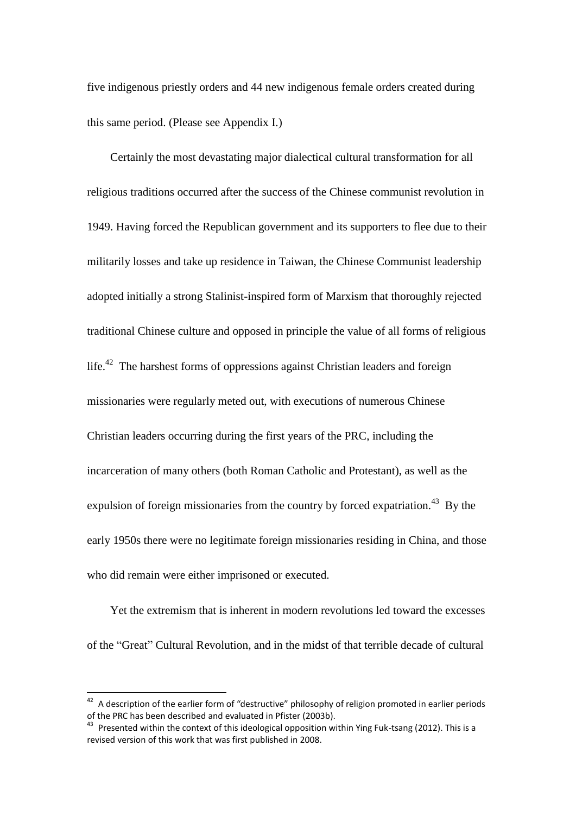five indigenous priestly orders and 44 new indigenous female orders created during this same period. (Please see Appendix I.)

Certainly the most devastating major dialectical cultural transformation for all religious traditions occurred after the success of the Chinese communist revolution in 1949. Having forced the Republican government and its supporters to flee due to their militarily losses and take up residence in Taiwan, the Chinese Communist leadership adopted initially a strong Stalinist-inspired form of Marxism that thoroughly rejected traditional Chinese culture and opposed in principle the value of all forms of religious life.<sup>42</sup> The harshest forms of oppressions against Christian leaders and foreign missionaries were regularly meted out, with executions of numerous Chinese Christian leaders occurring during the first years of the PRC, including the incarceration of many others (both Roman Catholic and Protestant), as well as the expulsion of foreign missionaries from the country by forced expatriation.<sup>43</sup> By the early 1950s there were no legitimate foreign missionaries residing in China, and those who did remain were either imprisoned or executed.

Yet the extremism that is inherent in modern revolutions led toward the excesses of the "Great" Cultural Revolution, and in the midst of that terrible decade of cultural

 $42$  A description of the earlier form of "destructive" philosophy of religion promoted in earlier periods of the PRC has been described and evaluated in Pfister (2003b).

 $43$  Presented within the context of this ideological opposition within Ying Fuk-tsang (2012). This is a revised version of this work that was first published in 2008.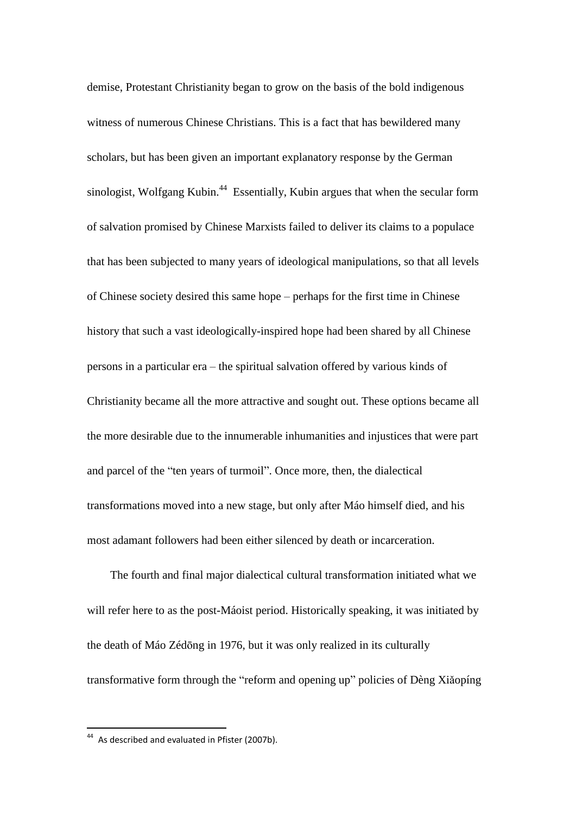demise, Protestant Christianity began to grow on the basis of the bold indigenous witness of numerous Chinese Christians. This is a fact that has bewildered many scholars, but has been given an important explanatory response by the German sinologist, Wolfgang Kubin.<sup>44</sup> Essentially, Kubin argues that when the secular form of salvation promised by Chinese Marxists failed to deliver its claims to a populace that has been subjected to many years of ideological manipulations, so that all levels of Chinese society desired this same hope – perhaps for the first time in Chinese history that such a vast ideologically-inspired hope had been shared by all Chinese persons in a particular era – the spiritual salvation offered by various kinds of Christianity became all the more attractive and sought out. These options became all the more desirable due to the innumerable inhumanities and injustices that were part and parcel of the "ten years of turmoil". Once more, then, the dialectical transformations moved into a new stage, but only after Máo himself died, and his most adamant followers had been either silenced by death or incarceration.

The fourth and final major dialectical cultural transformation initiated what we will refer here to as the post-Máoist period. Historically speaking, it was initiated by the death of Máo Zédōng in 1976, but it was only realized in its culturally transformative form through the "reform and opening up" policies of Dèng Xiǎopíng

<sup>&</sup>lt;sup>44</sup> As described and evaluated in Pfister (2007b).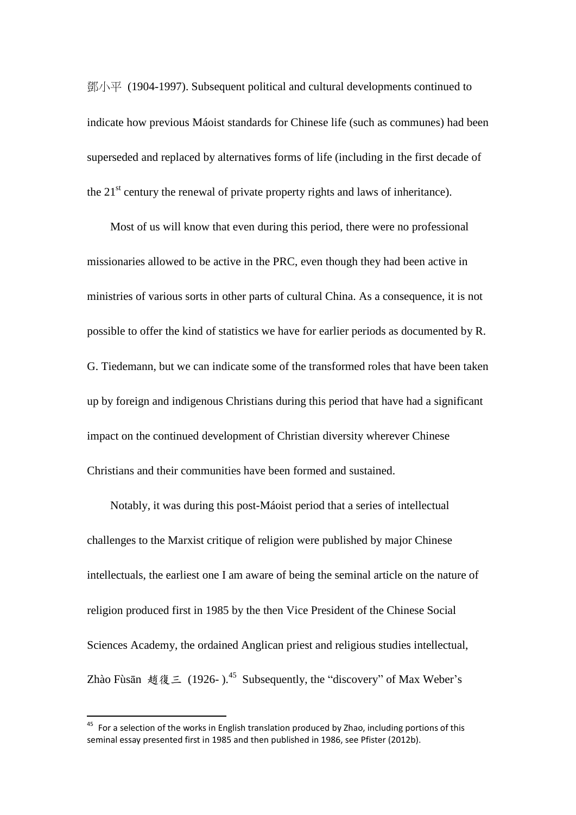鄧小平 (1904-1997). Subsequent political and cultural developments continued to indicate how previous Máoist standards for Chinese life (such as communes) had been superseded and replaced by alternatives forms of life (including in the first decade of the  $21<sup>st</sup>$  century the renewal of private property rights and laws of inheritance).

Most of us will know that even during this period, there were no professional missionaries allowed to be active in the PRC, even though they had been active in ministries of various sorts in other parts of cultural China. As a consequence, it is not possible to offer the kind of statistics we have for earlier periods as documented by R. G. Tiedemann, but we can indicate some of the transformed roles that have been taken up by foreign and indigenous Christians during this period that have had a significant impact on the continued development of Christian diversity wherever Chinese Christians and their communities have been formed and sustained.

Notably, it was during this post-Máoist period that a series of intellectual challenges to the Marxist critique of religion were published by major Chinese intellectuals, the earliest one I am aware of being the seminal article on the nature of religion produced first in 1985 by the then Vice President of the Chinese Social Sciences Academy, the ordained Anglican priest and religious studies intellectual, Zhào Fùsān 趙復三 (1926-).<sup>45</sup> Subsequently, the "discovery" of Max Weber's

 $45$  For a selection of the works in English translation produced by Zhao, including portions of this seminal essay presented first in 1985 and then published in 1986, see Pfister (2012b).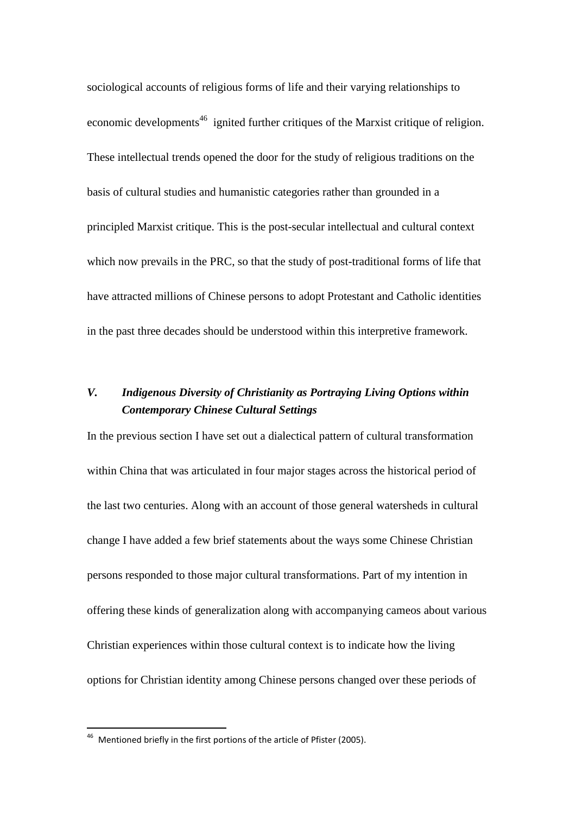sociological accounts of religious forms of life and their varying relationships to economic developments<sup>46</sup> ignited further critiques of the Marxist critique of religion. These intellectual trends opened the door for the study of religious traditions on the basis of cultural studies and humanistic categories rather than grounded in a principled Marxist critique. This is the post-secular intellectual and cultural context which now prevails in the PRC, so that the study of post-traditional forms of life that have attracted millions of Chinese persons to adopt Protestant and Catholic identities in the past three decades should be understood within this interpretive framework.

### *V. Indigenous Diversity of Christianity as Portraying Living Options within Contemporary Chinese Cultural Settings*

In the previous section I have set out a dialectical pattern of cultural transformation within China that was articulated in four major stages across the historical period of the last two centuries. Along with an account of those general watersheds in cultural change I have added a few brief statements about the ways some Chinese Christian persons responded to those major cultural transformations. Part of my intention in offering these kinds of generalization along with accompanying cameos about various Christian experiences within those cultural context is to indicate how the living options for Christian identity among Chinese persons changed over these periods of

<sup>&</sup>lt;sup>46</sup> Mentioned briefly in the first portions of the article of Pfister (2005).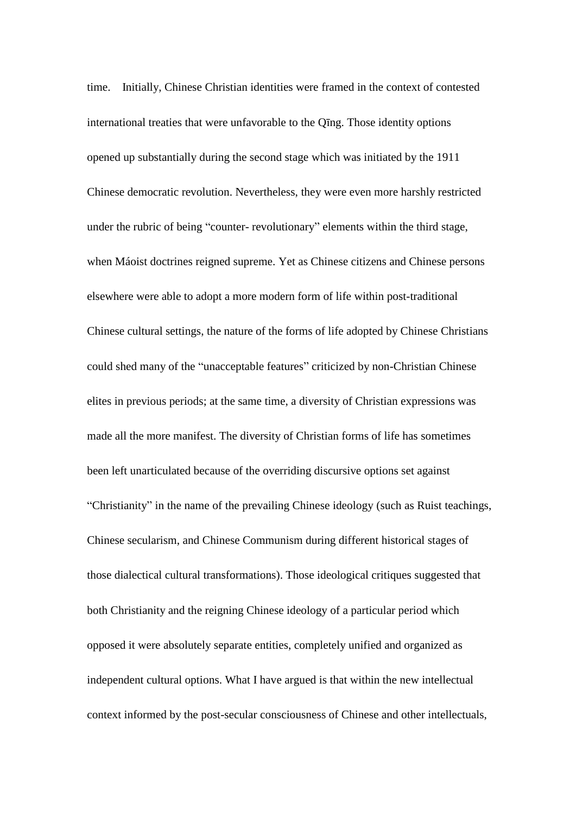time. Initially, Chinese Christian identities were framed in the context of contested international treaties that were unfavorable to the Qīng. Those identity options opened up substantially during the second stage which was initiated by the 1911 Chinese democratic revolution. Nevertheless, they were even more harshly restricted under the rubric of being "counter- revolutionary" elements within the third stage, when Máoist doctrines reigned supreme. Yet as Chinese citizens and Chinese persons elsewhere were able to adopt a more modern form of life within post-traditional Chinese cultural settings, the nature of the forms of life adopted by Chinese Christians could shed many of the "unacceptable features" criticized by non-Christian Chinese elites in previous periods; at the same time, a diversity of Christian expressions was made all the more manifest. The diversity of Christian forms of life has sometimes been left unarticulated because of the overriding discursive options set against "Christianity" in the name of the prevailing Chinese ideology (such as Ruist teachings, Chinese secularism, and Chinese Communism during different historical stages of those dialectical cultural transformations). Those ideological critiques suggested that both Christianity and the reigning Chinese ideology of a particular period which opposed it were absolutely separate entities, completely unified and organized as independent cultural options. What I have argued is that within the new intellectual context informed by the post-secular consciousness of Chinese and other intellectuals,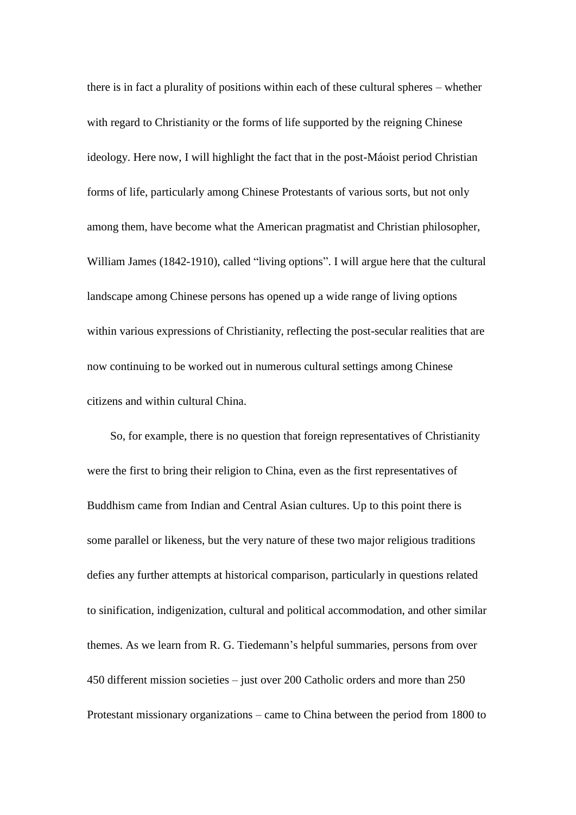there is in fact a plurality of positions within each of these cultural spheres – whether with regard to Christianity or the forms of life supported by the reigning Chinese ideology. Here now, I will highlight the fact that in the post-Máoist period Christian forms of life, particularly among Chinese Protestants of various sorts, but not only among them, have become what the American pragmatist and Christian philosopher, William James (1842-1910), called "living options". I will argue here that the cultural landscape among Chinese persons has opened up a wide range of living options within various expressions of Christianity, reflecting the post-secular realities that are now continuing to be worked out in numerous cultural settings among Chinese citizens and within cultural China.

So, for example, there is no question that foreign representatives of Christianity were the first to bring their religion to China, even as the first representatives of Buddhism came from Indian and Central Asian cultures. Up to this point there is some parallel or likeness, but the very nature of these two major religious traditions defies any further attempts at historical comparison, particularly in questions related to sinification, indigenization, cultural and political accommodation, and other similar themes. As we learn from R. G. Tiedemann's helpful summaries, persons from over 450 different mission societies – just over 200 Catholic orders and more than 250 Protestant missionary organizations – came to China between the period from 1800 to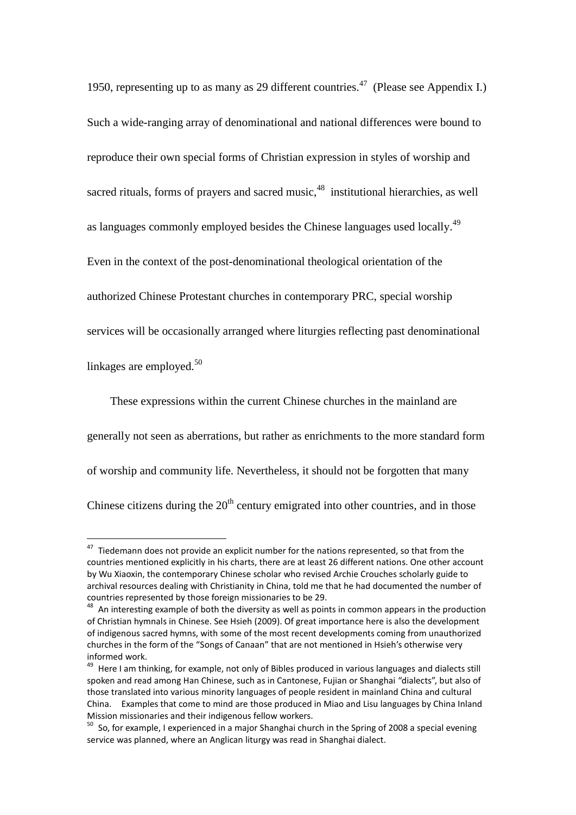1950, representing up to as many as 29 different countries.<sup>47</sup> (Please see Appendix I.) Such a wide-ranging array of denominational and national differences were bound to reproduce their own special forms of Christian expression in styles of worship and sacred rituals, forms of prayers and sacred music,<sup>48</sup> institutional hierarchies, as well as languages commonly employed besides the Chinese languages used locally.<sup>49</sup> Even in the context of the post-denominational theological orientation of the authorized Chinese Protestant churches in contemporary PRC, special worship services will be occasionally arranged where liturgies reflecting past denominational linkages are employed. $50$ 

These expressions within the current Chinese churches in the mainland are generally not seen as aberrations, but rather as enrichments to the more standard form of worship and community life. Nevertheless, it should not be forgotten that many Chinese citizens during the  $20<sup>th</sup>$  century emigrated into other countries, and in those

 $47$  Tiedemann does not provide an explicit number for the nations represented, so that from the countries mentioned explicitly in his charts, there are at least 26 different nations. One other account by Wu Xiaoxin, the contemporary Chinese scholar who revised Archie Crouches scholarly guide to archival resources dealing with Christianity in China, told me that he had documented the number of countries represented by those foreign missionaries to be 29.

 $48$  An interesting example of both the diversity as well as points in common appears in the production of Christian hymnals in Chinese. See Hsieh (2009). Of great importance here is also the development of indigenous sacred hymns, with some of the most recent developments coming from unauthorized churches in the form of the "Songs of Canaan" that are not mentioned in Hsieh's otherwise very informed work.

<sup>&</sup>lt;sup>49</sup> Here I am thinking, for example, not only of Bibles produced in various languages and dialects still spoken and read among Han Chinese, such as in Cantonese, Fujian or Shanghai "dialects", but also of those translated into various minority languages of people resident in mainland China and cultural China. Examples that come to mind are those produced in Miao and Lisu languages by China Inland Mission missionaries and their indigenous fellow workers.

 $50$  So, for example, I experienced in a major Shanghai church in the Spring of 2008 a special evening service was planned, where an Anglican liturgy was read in Shanghai dialect.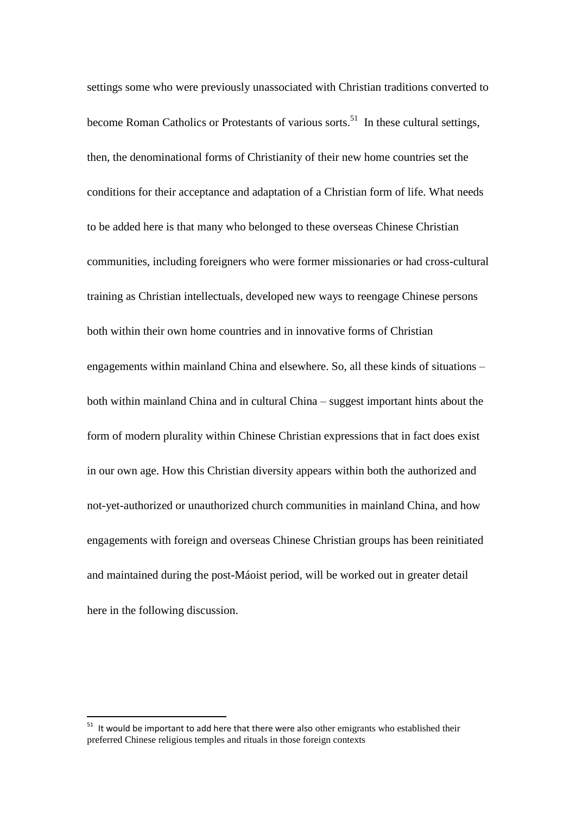settings some who were previously unassociated with Christian traditions converted to become Roman Catholics or Protestants of various sorts.<sup>51</sup> In these cultural settings, then, the denominational forms of Christianity of their new home countries set the conditions for their acceptance and adaptation of a Christian form of life. What needs to be added here is that many who belonged to these overseas Chinese Christian communities, including foreigners who were former missionaries or had cross-cultural training as Christian intellectuals, developed new ways to reengage Chinese persons both within their own home countries and in innovative forms of Christian engagements within mainland China and elsewhere. So, all these kinds of situations – both within mainland China and in cultural China – suggest important hints about the form of modern plurality within Chinese Christian expressions that in fact does exist in our own age. How this Christian diversity appears within both the authorized and not-yet-authorized or unauthorized church communities in mainland China, and how engagements with foreign and overseas Chinese Christian groups has been reinitiated and maintained during the post-Máoist period, will be worked out in greater detail here in the following discussion.

 $51$  It would be important to add here that there were also other emigrants who established their preferred Chinese religious temples and rituals in those foreign contexts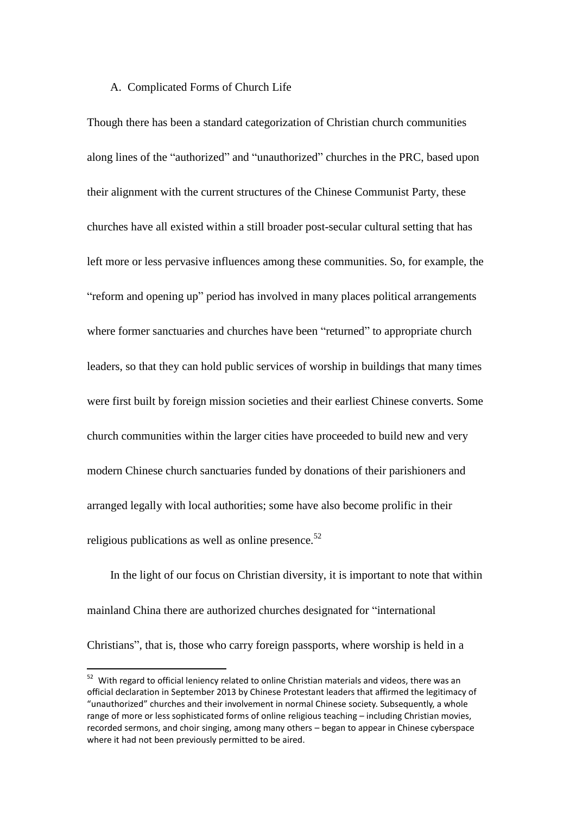#### A. Complicated Forms of Church Life

Though there has been a standard categorization of Christian church communities along lines of the "authorized" and "unauthorized" churches in the PRC, based upon their alignment with the current structures of the Chinese Communist Party, these churches have all existed within a still broader post-secular cultural setting that has left more or less pervasive influences among these communities. So, for example, the "reform and opening up" period has involved in many places political arrangements where former sanctuaries and churches have been "returned" to appropriate church leaders, so that they can hold public services of worship in buildings that many times were first built by foreign mission societies and their earliest Chinese converts. Some church communities within the larger cities have proceeded to build new and very modern Chinese church sanctuaries funded by donations of their parishioners and arranged legally with local authorities; some have also become prolific in their religious publications as well as online presence. $52$ 

In the light of our focus on Christian diversity, it is important to note that within mainland China there are authorized churches designated for "international Christians", that is, those who carry foreign passports, where worship is held in a

 $52$  With regard to official leniency related to online Christian materials and videos, there was an official declaration in September 2013 by Chinese Protestant leaders that affirmed the legitimacy of "unauthorized" churches and their involvement in normal Chinese society. Subsequently, a whole range of more or less sophisticated forms of online religious teaching – including Christian movies, recorded sermons, and choir singing, among many others – began to appear in Chinese cyberspace where it had not been previously permitted to be aired.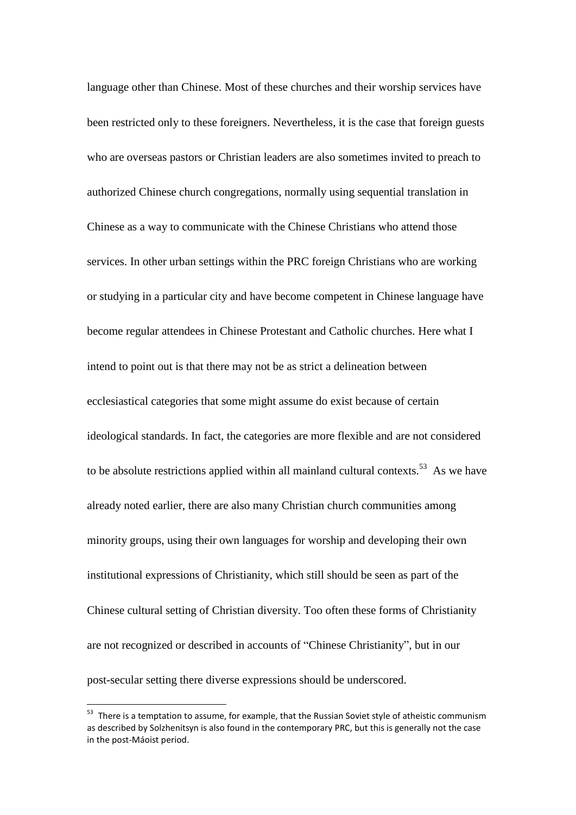language other than Chinese. Most of these churches and their worship services have been restricted only to these foreigners. Nevertheless, it is the case that foreign guests who are overseas pastors or Christian leaders are also sometimes invited to preach to authorized Chinese church congregations, normally using sequential translation in Chinese as a way to communicate with the Chinese Christians who attend those services. In other urban settings within the PRC foreign Christians who are working or studying in a particular city and have become competent in Chinese language have become regular attendees in Chinese Protestant and Catholic churches. Here what I intend to point out is that there may not be as strict a delineation between ecclesiastical categories that some might assume do exist because of certain ideological standards. In fact, the categories are more flexible and are not considered to be absolute restrictions applied within all mainland cultural contexts.<sup>53</sup> As we have already noted earlier, there are also many Christian church communities among minority groups, using their own languages for worship and developing their own institutional expressions of Christianity, which still should be seen as part of the Chinese cultural setting of Christian diversity. Too often these forms of Christianity are not recognized or described in accounts of "Chinese Christianity", but in our post-secular setting there diverse expressions should be underscored.

<sup>&</sup>lt;sup>53</sup> There is a temptation to assume, for example, that the Russian Soviet style of atheistic communism as described by Solzhenitsyn is also found in the contemporary PRC, but this is generally not the case in the post-Máoist period.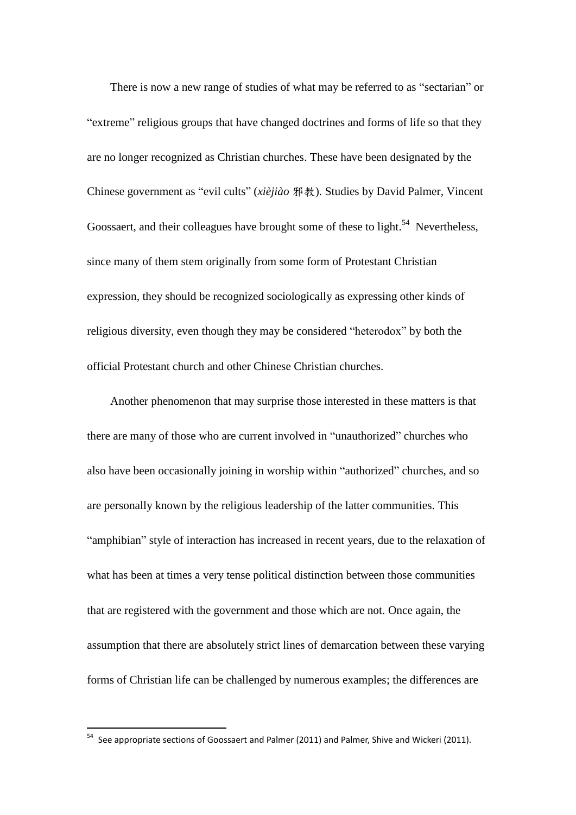There is now a new range of studies of what may be referred to as "sectarian" or "extreme" religious groups that have changed doctrines and forms of life so that they are no longer recognized as Christian churches. These have been designated by the Chinese government as "evil cults" (*xièjiào* 邪教). Studies by David Palmer, Vincent Goossaert, and their colleagues have brought some of these to light.<sup>54</sup> Nevertheless, since many of them stem originally from some form of Protestant Christian expression, they should be recognized sociologically as expressing other kinds of religious diversity, even though they may be considered "heterodox" by both the official Protestant church and other Chinese Christian churches.

Another phenomenon that may surprise those interested in these matters is that there are many of those who are current involved in "unauthorized" churches who also have been occasionally joining in worship within "authorized" churches, and so are personally known by the religious leadership of the latter communities. This "amphibian" style of interaction has increased in recent years, due to the relaxation of what has been at times a very tense political distinction between those communities that are registered with the government and those which are not. Once again, the assumption that there are absolutely strict lines of demarcation between these varying forms of Christian life can be challenged by numerous examples; the differences are

<sup>&</sup>lt;sup>54</sup> See appropriate sections of Goossaert and Palmer (2011) and Palmer. Shive and Wickeri (2011).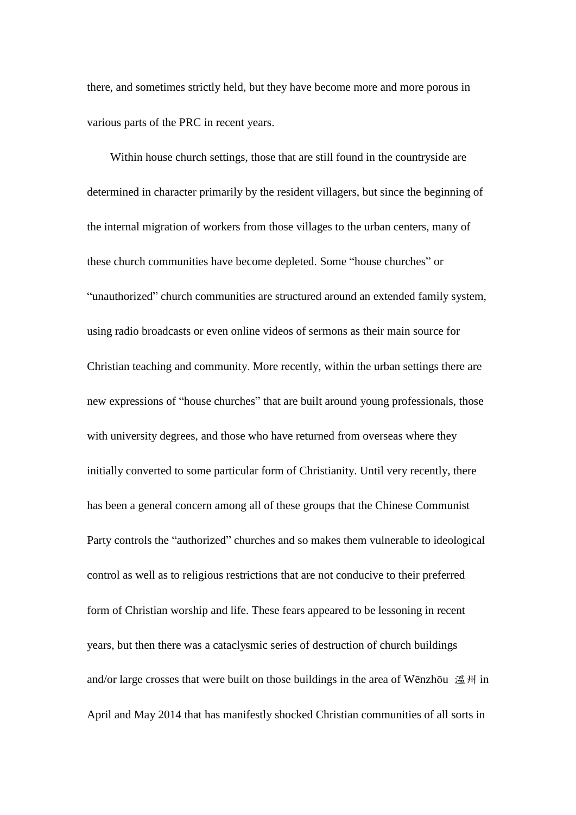there, and sometimes strictly held, but they have become more and more porous in various parts of the PRC in recent years.

Within house church settings, those that are still found in the countryside are determined in character primarily by the resident villagers, but since the beginning of the internal migration of workers from those villages to the urban centers, many of these church communities have become depleted. Some "house churches" or "unauthorized" church communities are structured around an extended family system, using radio broadcasts or even online videos of sermons as their main source for Christian teaching and community. More recently, within the urban settings there are new expressions of "house churches" that are built around young professionals, those with university degrees, and those who have returned from overseas where they initially converted to some particular form of Christianity. Until very recently, there has been a general concern among all of these groups that the Chinese Communist Party controls the "authorized" churches and so makes them vulnerable to ideological control as well as to religious restrictions that are not conducive to their preferred form of Christian worship and life. These fears appeared to be lessoning in recent years, but then there was a cataclysmic series of destruction of church buildings and/or large crosses that were built on those buildings in the area of Wēnzhōu 溫州 in April and May 2014 that has manifestly shocked Christian communities of all sorts in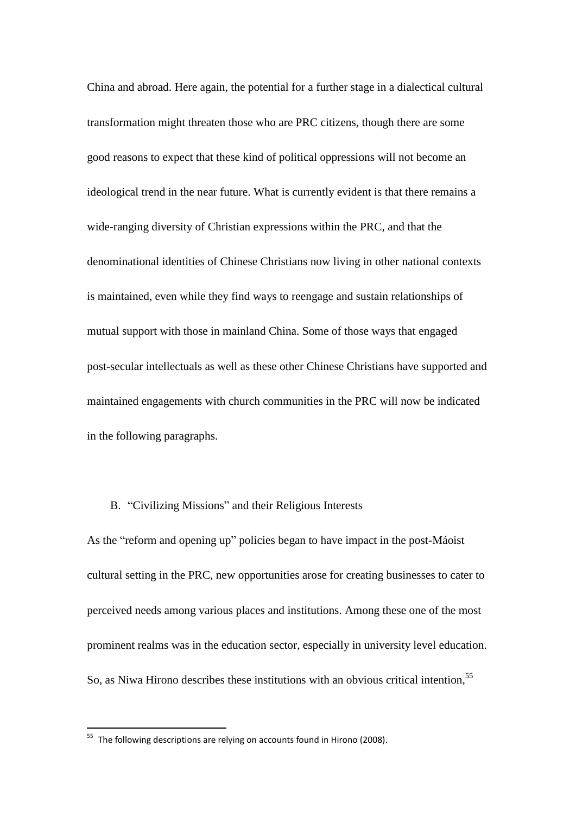China and abroad. Here again, the potential for a further stage in a dialectical cultural transformation might threaten those who are PRC citizens, though there are some good reasons to expect that these kind of political oppressions will not become an ideological trend in the near future. What is currently evident is that there remains a wide-ranging diversity of Christian expressions within the PRC, and that the denominational identities of Chinese Christians now living in other national contexts is maintained, even while they find ways to reengage and sustain relationships of mutual support with those in mainland China. Some of those ways that engaged post-secular intellectuals as well as these other Chinese Christians have supported and maintained engagements with church communities in the PRC will now be indicated in the following paragraphs.

### B. "Civilizing Missions" and their Religious Interests

As the "reform and opening up" policies began to have impact in the post-Máoist cultural setting in the PRC, new opportunities arose for creating businesses to cater to perceived needs among various places and institutions. Among these one of the most prominent realms was in the education sector, especially in university level education. So, as Niwa Hirono describes these institutions with an obvious critical intention,<sup>55</sup>

 $55$  The following descriptions are relying on accounts found in Hirono (2008).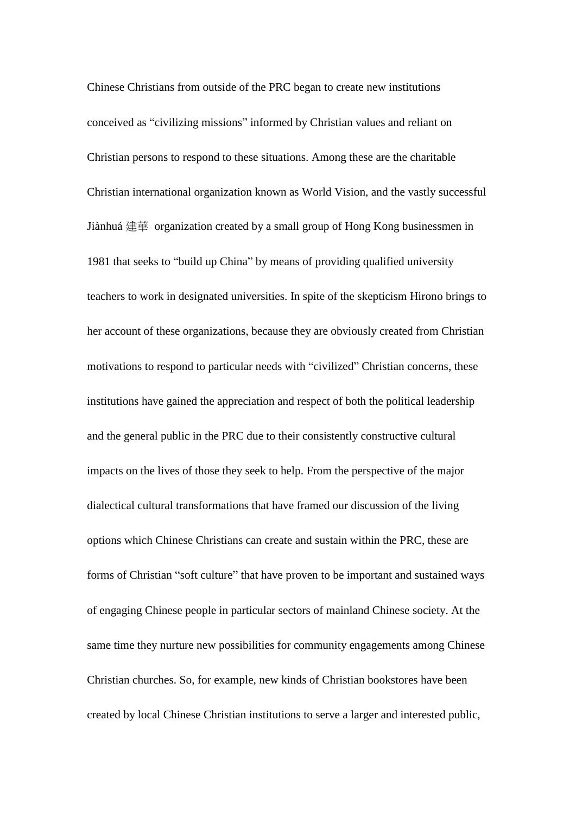Chinese Christians from outside of the PRC began to create new institutions conceived as "civilizing missions" informed by Christian values and reliant on Christian persons to respond to these situations. Among these are the charitable Christian international organization known as World Vision, and the vastly successful Jiànhuá 建華 organization created by a small group of Hong Kong businessmen in 1981 that seeks to "build up China" by means of providing qualified university teachers to work in designated universities. In spite of the skepticism Hirono brings to her account of these organizations, because they are obviously created from Christian motivations to respond to particular needs with "civilized" Christian concerns, these institutions have gained the appreciation and respect of both the political leadership and the general public in the PRC due to their consistently constructive cultural impacts on the lives of those they seek to help. From the perspective of the major dialectical cultural transformations that have framed our discussion of the living options which Chinese Christians can create and sustain within the PRC, these are forms of Christian "soft culture" that have proven to be important and sustained ways of engaging Chinese people in particular sectors of mainland Chinese society. At the same time they nurture new possibilities for community engagements among Chinese Christian churches. So, for example, new kinds of Christian bookstores have been created by local Chinese Christian institutions to serve a larger and interested public,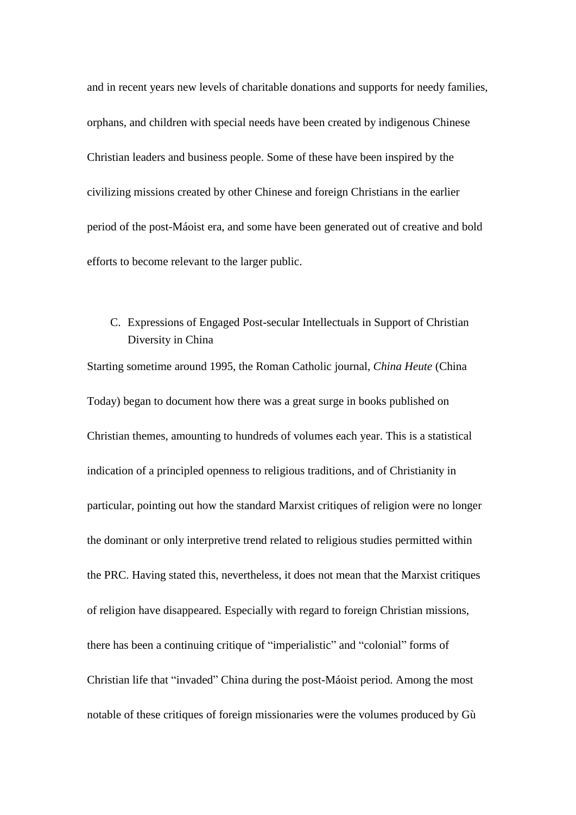and in recent years new levels of charitable donations and supports for needy families, orphans, and children with special needs have been created by indigenous Chinese Christian leaders and business people. Some of these have been inspired by the civilizing missions created by other Chinese and foreign Christians in the earlier period of the post-Máoist era, and some have been generated out of creative and bold efforts to become relevant to the larger public.

## C. Expressions of Engaged Post-secular Intellectuals in Support of Christian Diversity in China

Starting sometime around 1995, the Roman Catholic journal, *China Heute* (China Today) began to document how there was a great surge in books published on Christian themes, amounting to hundreds of volumes each year. This is a statistical indication of a principled openness to religious traditions, and of Christianity in particular, pointing out how the standard Marxist critiques of religion were no longer the dominant or only interpretive trend related to religious studies permitted within the PRC. Having stated this, nevertheless, it does not mean that the Marxist critiques of religion have disappeared. Especially with regard to foreign Christian missions, there has been a continuing critique of "imperialistic" and "colonial" forms of Christian life that "invaded" China during the post-Máoist period. Among the most notable of these critiques of foreign missionaries were the volumes produced by Gù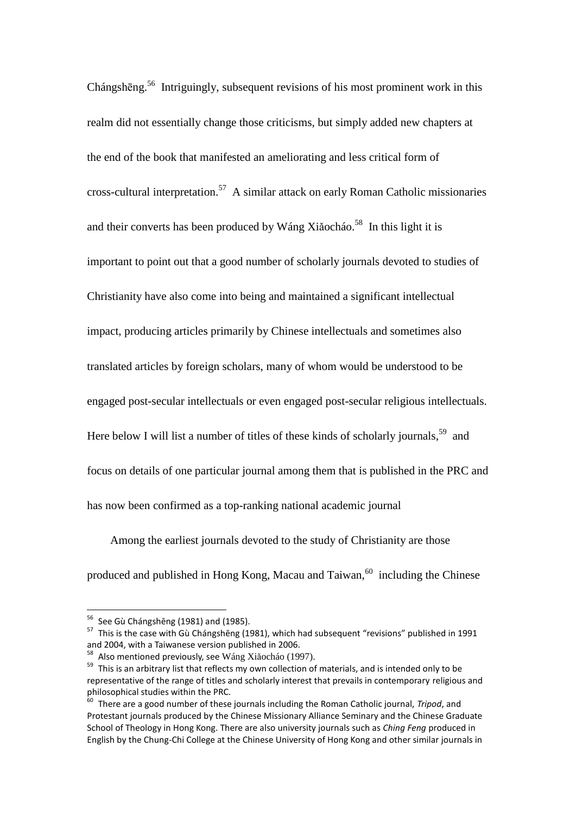Chángshēng.<sup>56</sup> Intriguingly, subsequent revisions of his most prominent work in this realm did not essentially change those criticisms, but simply added new chapters at the end of the book that manifested an ameliorating and less critical form of cross-cultural interpretation.<sup>57</sup> A similar attack on early Roman Catholic missionaries and their converts has been produced by Wáng Xiǎocháo.<sup>58</sup> In this light it is important to point out that a good number of scholarly journals devoted to studies of Christianity have also come into being and maintained a significant intellectual impact, producing articles primarily by Chinese intellectuals and sometimes also translated articles by foreign scholars, many of whom would be understood to be engaged post-secular intellectuals or even engaged post-secular religious intellectuals. Here below I will list a number of titles of these kinds of scholarly journals,  $59$  and focus on details of one particular journal among them that is published in the PRC and has now been confirmed as a top-ranking national academic journal

Among the earliest journals devoted to the study of Christianity are those produced and published in Hong Kong, Macau and Taiwan,  $60$  including the Chinese

 $56$  See Gù Chángshēng (1981) and (1985).

 $57$  This is the case with Gù Chángshēng (1981), which had subsequent "revisions" published in 1991 and 2004, with a Taiwanese version published in 2006.

<sup>58</sup> Also mentioned previously, see Wáng Xiǎocháo (1997).

<sup>&</sup>lt;sup>59</sup> This is an arbitrary list that reflects my own collection of materials, and is intended only to be representative of the range of titles and scholarly interest that prevails in contemporary religious and philosophical studies within the PRC.

<sup>60</sup> There are a good number of these journals including the Roman Catholic journal, *Tripod*, and Protestant journals produced by the Chinese Missionary Alliance Seminary and the Chinese Graduate School of Theology in Hong Kong. There are also university journals such as *Ching Feng* produced in English by the Chung-Chi College at the Chinese University of Hong Kong and other similar journals in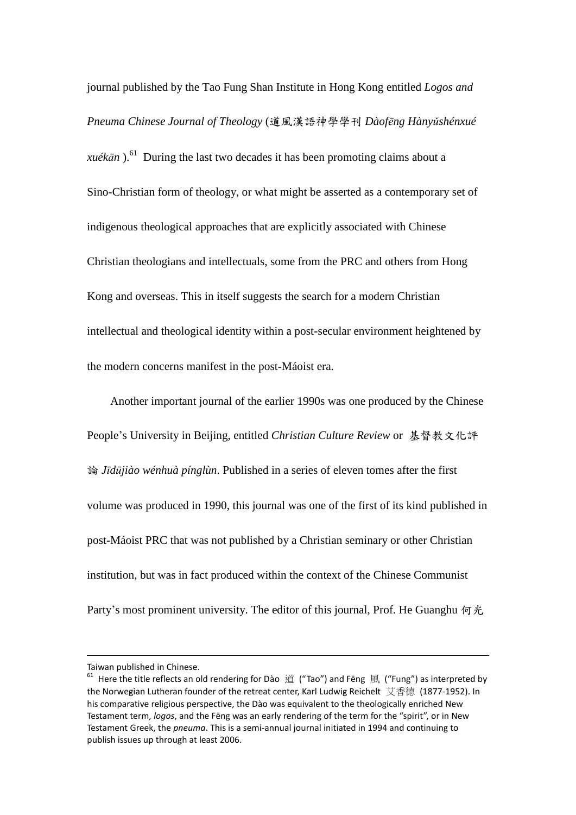journal published by the Tao Fung Shan Institute in Hong Kong entitled *Logos and Pneuma Chinese Journal of Theology* (道風漢語神學學刊 *Dàofēng Hànyǔshénxué xuékān*).<sup>61</sup> During the last two decades it has been promoting claims about a Sino-Christian form of theology, or what might be asserted as a contemporary set of indigenous theological approaches that are explicitly associated with Chinese Christian theologians and intellectuals, some from the PRC and others from Hong Kong and overseas. This in itself suggests the search for a modern Christian intellectual and theological identity within a post-secular environment heightened by the modern concerns manifest in the post-Máoist era.

Another important journal of the earlier 1990s was one produced by the Chinese People's University in Beijing, entitled *Christian Culture Review* or 基督教文化評 論 *Jīdūjiào wénhuà pínglùn*. Published in a series of eleven tomes after the first volume was produced in 1990, this journal was one of the first of its kind published in post-Máoist PRC that was not published by a Christian seminary or other Christian institution, but was in fact produced within the context of the Chinese Communist Party's most prominent university. The editor of this journal, Prof. He Guanghu 何光

Taiwan published in Chinese.

 $61$  Here the title reflects an old rendering for Dào 道 ("Tao") and Fēng 風 ("Fung") as interpreted by the Norwegian Lutheran founder of the retreat center, Karl Ludwig Reichelt 艾香德 (1877-1952). In his comparative religious perspective, the Dào was equivalent to the theologically enriched New Testament term, *logos*, and the Fēng was an early rendering of the term for the "spirit", or in New Testament Greek, the *pneuma*. This is a semi-annual journal initiated in 1994 and continuing to publish issues up through at least 2006.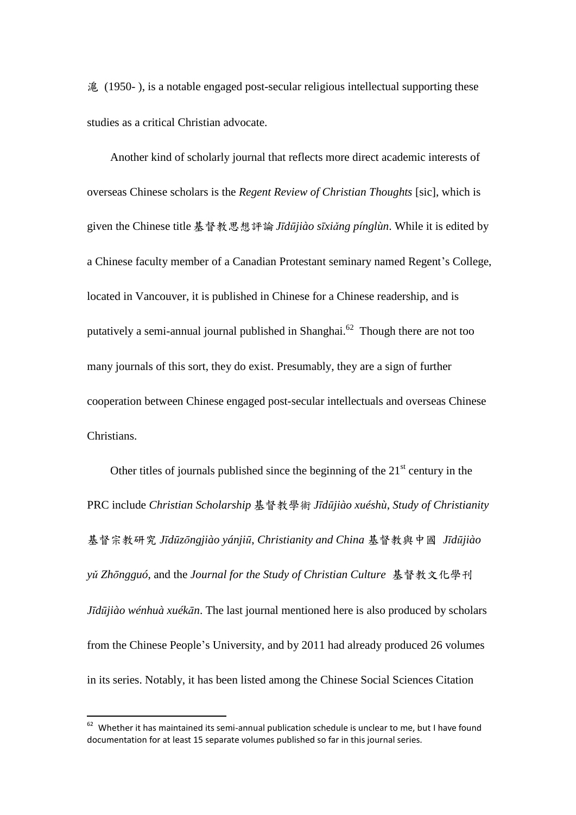滬 (1950- ), is a notable engaged post-secular religious intellectual supporting these studies as a critical Christian advocate.

Another kind of scholarly journal that reflects more direct academic interests of overseas Chinese scholars is the *Regent Review of Christian Thoughts* [sic], which is given the Chinese title基督教思想評論*Jīdūjiào sīxiǎng pínglùn*. While it is edited by a Chinese faculty member of a Canadian Protestant seminary named Regent's College, located in Vancouver, it is published in Chinese for a Chinese readership, and is putatively a semi-annual journal published in Shanghai. $62$  Though there are not too many journals of this sort, they do exist. Presumably, they are a sign of further cooperation between Chinese engaged post-secular intellectuals and overseas Chinese Christians.

Other titles of journals published since the beginning of the  $21<sup>st</sup>$  century in the PRC include *Christian Scholarship* 基督教學術 *Jīdūjiào xuéshù*, *Study of Christianity* 基督宗教研究 *Jīdūzōngjiào yánjiū*, *Christianity and China* 基督教與中國 *Jīdūjiào yǔ Zhōngguó*, and the *Journal for the Study of Christian Culture* 基督教文化學刊 *Jīdūjiào wénhuà xuékān*. The last journal mentioned here is also produced by scholars from the Chinese People's University, and by 2011 had already produced 26 volumes in its series. Notably, it has been listed among the Chinese Social Sciences Citation

 $62$  Whether it has maintained its semi-annual publication schedule is unclear to me, but I have found documentation for at least 15 separate volumes published so far in this journal series.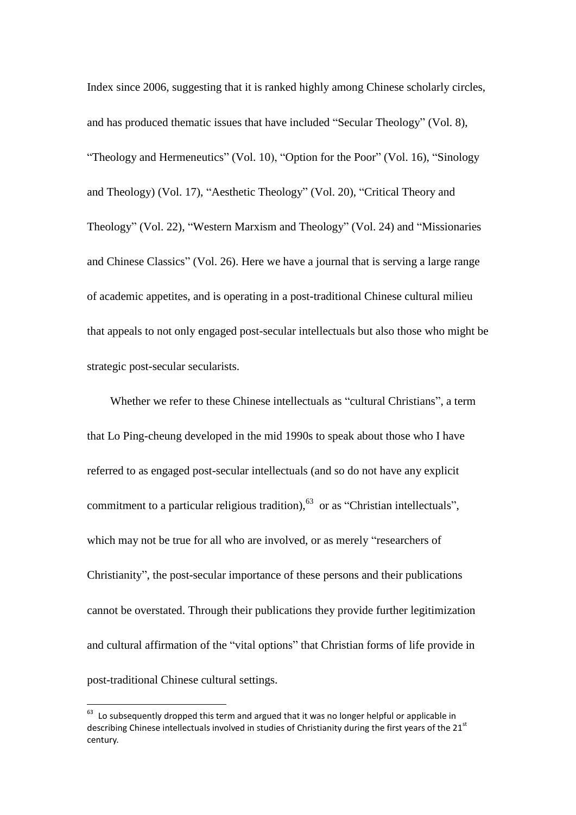Index since 2006, suggesting that it is ranked highly among Chinese scholarly circles, and has produced thematic issues that have included "Secular Theology" (Vol. 8), "Theology and Hermeneutics" (Vol. 10), "Option for the Poor" (Vol. 16), "Sinology and Theology) (Vol. 17), "Aesthetic Theology" (Vol. 20), "Critical Theory and Theology" (Vol. 22), "Western Marxism and Theology" (Vol. 24) and "Missionaries and Chinese Classics" (Vol. 26). Here we have a journal that is serving a large range of academic appetites, and is operating in a post-traditional Chinese cultural milieu that appeals to not only engaged post-secular intellectuals but also those who might be strategic post-secular secularists.

Whether we refer to these Chinese intellectuals as "cultural Christians", a term that Lo Ping-cheung developed in the mid 1990s to speak about those who I have referred to as engaged post-secular intellectuals (and so do not have any explicit commitment to a particular religious tradition),  $^{63}$  or as "Christian intellectuals", which may not be true for all who are involved, or as merely "researchers of Christianity", the post-secular importance of these persons and their publications cannot be overstated. Through their publications they provide further legitimization and cultural affirmation of the "vital options" that Christian forms of life provide in post-traditional Chinese cultural settings.

 $63$  Lo subsequently dropped this term and argued that it was no longer helpful or applicable in describing Chinese intellectuals involved in studies of Christianity during the first years of the 21<sup>st</sup> century.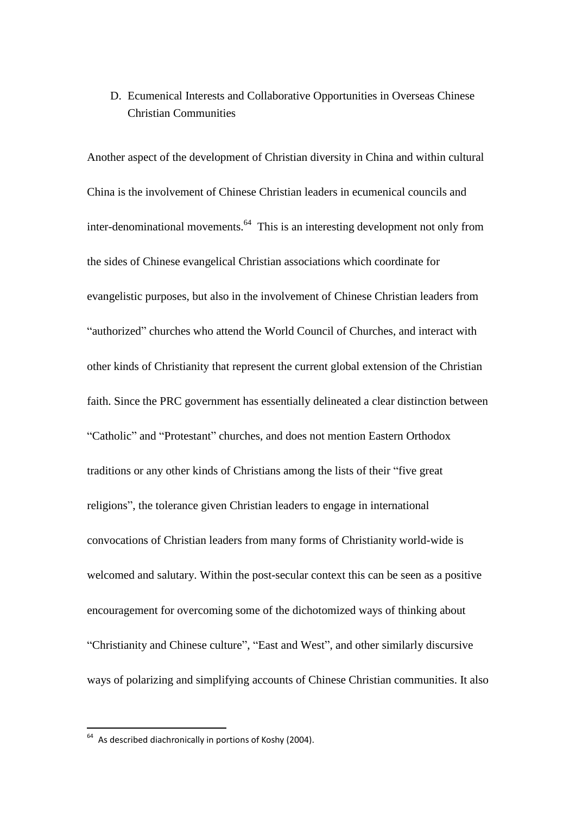### D. Ecumenical Interests and Collaborative Opportunities in Overseas Chinese Christian Communities

Another aspect of the development of Christian diversity in China and within cultural China is the involvement of Chinese Christian leaders in ecumenical councils and inter-denominational movements.<sup>64</sup> This is an interesting development not only from the sides of Chinese evangelical Christian associations which coordinate for evangelistic purposes, but also in the involvement of Chinese Christian leaders from "authorized" churches who attend the World Council of Churches, and interact with other kinds of Christianity that represent the current global extension of the Christian faith. Since the PRC government has essentially delineated a clear distinction between "Catholic" and "Protestant" churches, and does not mention Eastern Orthodox traditions or any other kinds of Christians among the lists of their "five great religions", the tolerance given Christian leaders to engage in international convocations of Christian leaders from many forms of Christianity world-wide is welcomed and salutary. Within the post-secular context this can be seen as a positive encouragement for overcoming some of the dichotomized ways of thinking about "Christianity and Chinese culture", "East and West", and other similarly discursive ways of polarizing and simplifying accounts of Chinese Christian communities. It also

 $64$  As described diachronically in portions of Koshy (2004).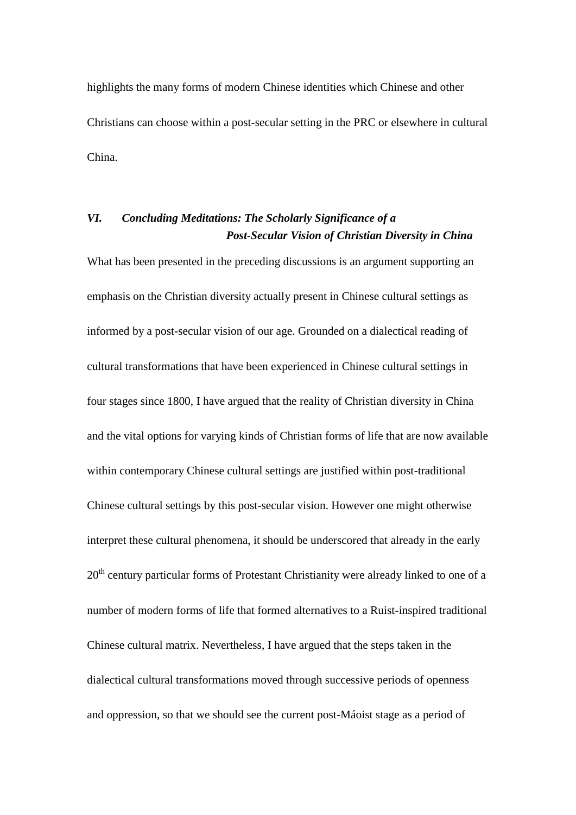highlights the many forms of modern Chinese identities which Chinese and other Christians can choose within a post-secular setting in the PRC or elsewhere in cultural China.

# *VI. Concluding Meditations: The Scholarly Significance of a Post-Secular Vision of Christian Diversity in China*

What has been presented in the preceding discussions is an argument supporting an emphasis on the Christian diversity actually present in Chinese cultural settings as informed by a post-secular vision of our age. Grounded on a dialectical reading of cultural transformations that have been experienced in Chinese cultural settings in four stages since 1800, I have argued that the reality of Christian diversity in China and the vital options for varying kinds of Christian forms of life that are now available within contemporary Chinese cultural settings are justified within post-traditional Chinese cultural settings by this post-secular vision. However one might otherwise interpret these cultural phenomena, it should be underscored that already in the early  $20<sup>th</sup>$  century particular forms of Protestant Christianity were already linked to one of a number of modern forms of life that formed alternatives to a Ruist-inspired traditional Chinese cultural matrix. Nevertheless, I have argued that the steps taken in the dialectical cultural transformations moved through successive periods of openness and oppression, so that we should see the current post-Máoist stage as a period of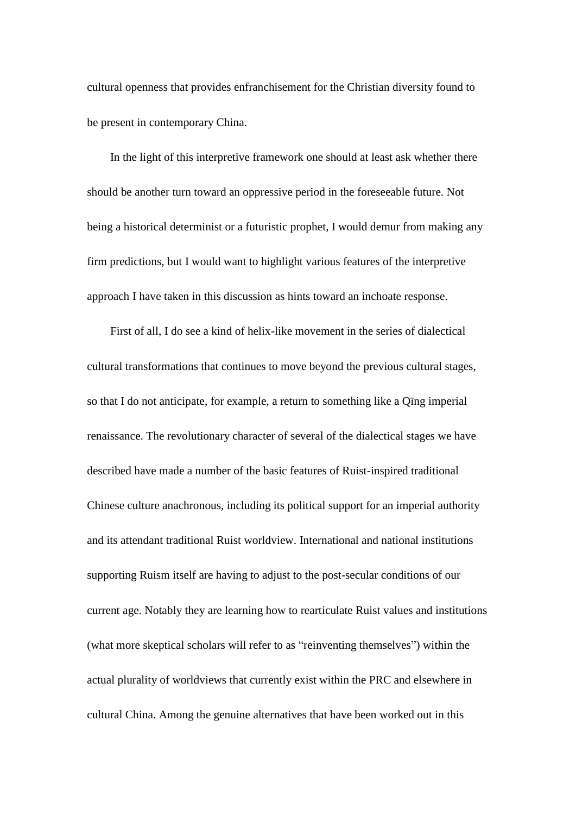cultural openness that provides enfranchisement for the Christian diversity found to be present in contemporary China.

In the light of this interpretive framework one should at least ask whether there should be another turn toward an oppressive period in the foreseeable future. Not being a historical determinist or a futuristic prophet, I would demur from making any firm predictions, but I would want to highlight various features of the interpretive approach I have taken in this discussion as hints toward an inchoate response.

First of all, I do see a kind of helix-like movement in the series of dialectical cultural transformations that continues to move beyond the previous cultural stages, so that I do not anticipate, for example, a return to something like a Qīng imperial renaissance. The revolutionary character of several of the dialectical stages we have described have made a number of the basic features of Ruist-inspired traditional Chinese culture anachronous, including its political support for an imperial authority and its attendant traditional Ruist worldview. International and national institutions supporting Ruism itself are having to adjust to the post-secular conditions of our current age. Notably they are learning how to rearticulate Ruist values and institutions (what more skeptical scholars will refer to as "reinventing themselves") within the actual plurality of worldviews that currently exist within the PRC and elsewhere in cultural China. Among the genuine alternatives that have been worked out in this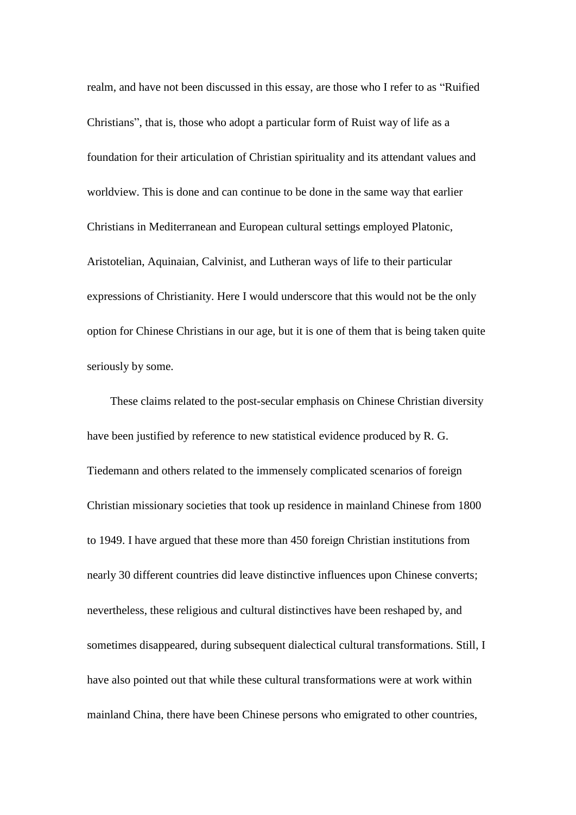realm, and have not been discussed in this essay, are those who I refer to as "Ruified Christians", that is, those who adopt a particular form of Ruist way of life as a foundation for their articulation of Christian spirituality and its attendant values and worldview. This is done and can continue to be done in the same way that earlier Christians in Mediterranean and European cultural settings employed Platonic, Aristotelian, Aquinaian, Calvinist, and Lutheran ways of life to their particular expressions of Christianity. Here I would underscore that this would not be the only option for Chinese Christians in our age, but it is one of them that is being taken quite seriously by some.

These claims related to the post-secular emphasis on Chinese Christian diversity have been justified by reference to new statistical evidence produced by R. G. Tiedemann and others related to the immensely complicated scenarios of foreign Christian missionary societies that took up residence in mainland Chinese from 1800 to 1949. I have argued that these more than 450 foreign Christian institutions from nearly 30 different countries did leave distinctive influences upon Chinese converts; nevertheless, these religious and cultural distinctives have been reshaped by, and sometimes disappeared, during subsequent dialectical cultural transformations. Still, I have also pointed out that while these cultural transformations were at work within mainland China, there have been Chinese persons who emigrated to other countries,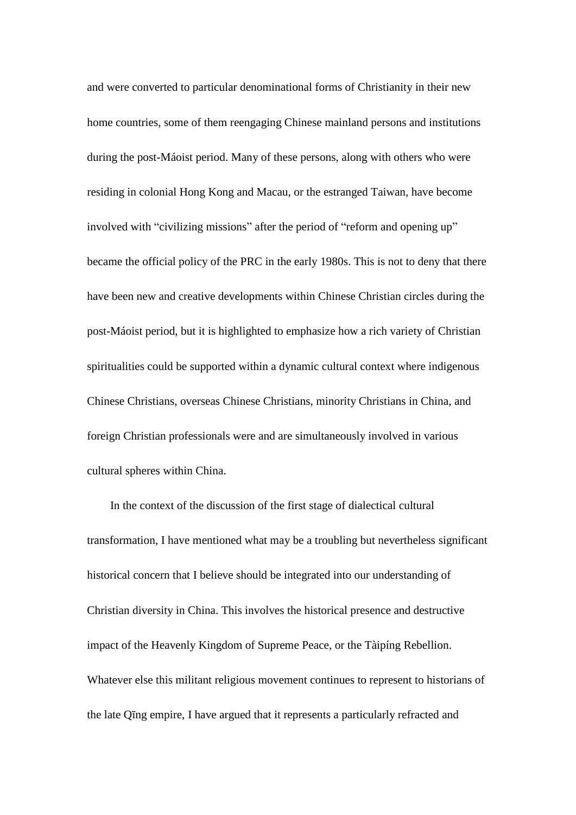and were converted to particular denominational forms of Christianity in their new home countries, some of them reengaging Chinese mainland persons and institutions during the post-Máoist period. Many of these persons, along with others who were residing in colonial Hong Kong and Macau, or the estranged Taiwan, have become involved with "civilizing missions" after the period of "reform and opening up" became the official policy of the PRC in the early 1980s. This is not to deny that there have been new and creative developments within Chinese Christian circles during the post-Máoist period, but it is highlighted to emphasize how a rich variety of Christian spiritualities could be supported within a dynamic cultural context where indigenous Chinese Christians, overseas Chinese Christians, minority Christians in China, and foreign Christian professionals were and are simultaneously involved in various cultural spheres within China.

In the context of the discussion of the first stage of dialectical cultural transformation, I have mentioned what may be a troubling but nevertheless significant historical concern that I believe should be integrated into our understanding of Christian diversity in China. This involves the historical presence and destructive impact of the Heavenly Kingdom of Supreme Peace, or the Tàipíng Rebellion. Whatever else this militant religious movement continues to represent to historians of the late Qīng empire, I have argued that it represents a particularly refracted and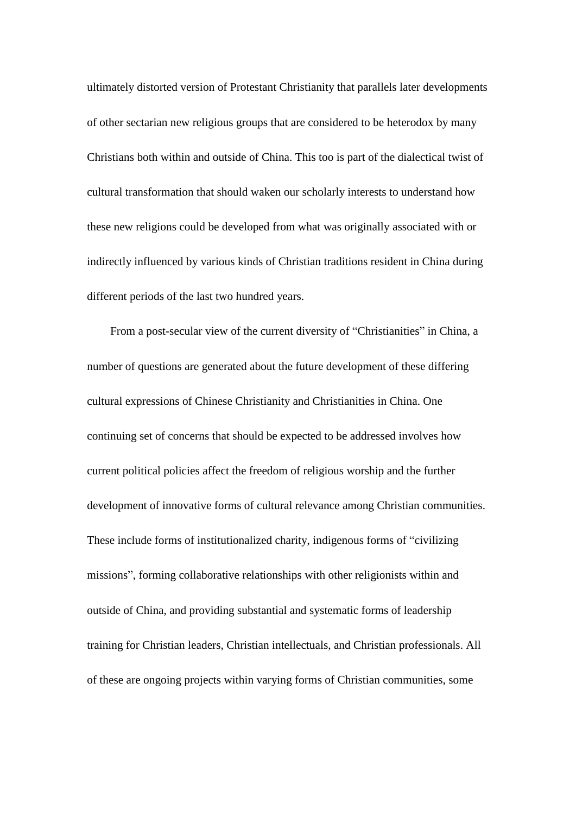ultimately distorted version of Protestant Christianity that parallels later developments of other sectarian new religious groups that are considered to be heterodox by many Christians both within and outside of China. This too is part of the dialectical twist of cultural transformation that should waken our scholarly interests to understand how these new religions could be developed from what was originally associated with or indirectly influenced by various kinds of Christian traditions resident in China during different periods of the last two hundred years.

From a post-secular view of the current diversity of "Christianities" in China, a number of questions are generated about the future development of these differing cultural expressions of Chinese Christianity and Christianities in China. One continuing set of concerns that should be expected to be addressed involves how current political policies affect the freedom of religious worship and the further development of innovative forms of cultural relevance among Christian communities. These include forms of institutionalized charity, indigenous forms of "civilizing missions", forming collaborative relationships with other religionists within and outside of China, and providing substantial and systematic forms of leadership training for Christian leaders, Christian intellectuals, and Christian professionals. All of these are ongoing projects within varying forms of Christian communities, some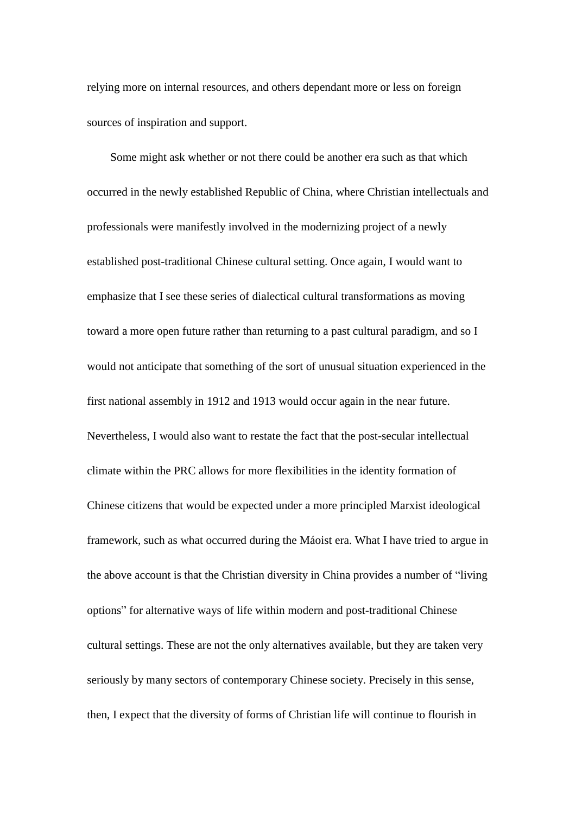relying more on internal resources, and others dependant more or less on foreign sources of inspiration and support.

Some might ask whether or not there could be another era such as that which occurred in the newly established Republic of China, where Christian intellectuals and professionals were manifestly involved in the modernizing project of a newly established post-traditional Chinese cultural setting. Once again, I would want to emphasize that I see these series of dialectical cultural transformations as moving toward a more open future rather than returning to a past cultural paradigm, and so I would not anticipate that something of the sort of unusual situation experienced in the first national assembly in 1912 and 1913 would occur again in the near future. Nevertheless, I would also want to restate the fact that the post-secular intellectual climate within the PRC allows for more flexibilities in the identity formation of Chinese citizens that would be expected under a more principled Marxist ideological framework, such as what occurred during the Máoist era. What I have tried to argue in the above account is that the Christian diversity in China provides a number of "living options" for alternative ways of life within modern and post-traditional Chinese cultural settings. These are not the only alternatives available, but they are taken very seriously by many sectors of contemporary Chinese society. Precisely in this sense, then, I expect that the diversity of forms of Christian life will continue to flourish in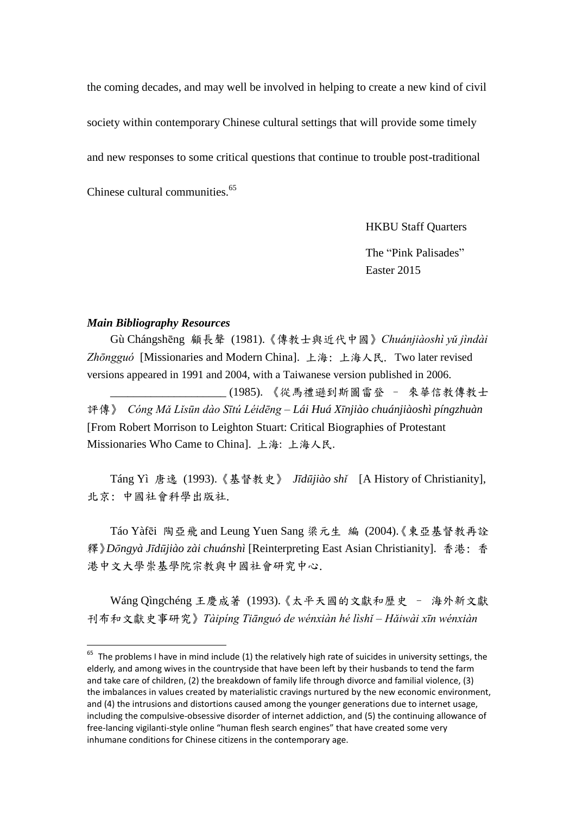the coming decades, and may well be involved in helping to create a new kind of civil society within contemporary Chinese cultural settings that will provide some timely and new responses to some critical questions that continue to trouble post-traditional Chinese cultural communities.<sup>65</sup>

HKBU Staff Quarters

The "Pink Palisades" Easter 2015

#### *Main Bibliography Resources*

<u>.</u>

Gù Chángshēng 顧長聲 (1981).《傳教士與近代中國》*Chuánjiàoshì yǔ jìndài Zhōngguó* [Missionaries and Modern China]. 上海: 上海人民. Two later revised versions appeared in 1991 and 2004, with a Taiwanese version published in 2006. \_\_\_\_\_\_\_\_\_\_\_\_\_\_\_\_\_\_\_\_ (1985). 《從馬禮遜到斯圖雷登 – 來華信教傳教士 評傳》 *Cóng Mǎ Lǐsūn dào Sītú Léidēng – Lái Huá Xīnjiào chuánjiàoshì píngzhuàn* [From Robert Morrison to Leighton Stuart: Critical Biographies of Protestant Missionaries Who Came to China]. 上海: 上海人民.

Táng Yì 唐逸 (1993).《基督教史》 *Jīdūjiào shǐ* [A History of Christianity], 北京: 中國社會科學出版社.

Táo Yàfēi 陶亞飛 and Leung Yuen Sang 梁元生 編 (2004).《東亞基督教再詮 釋》*Dōngyà Jīdūjiào zài chuánshì* [Reinterpreting East Asian Christianity]. 香港: 香 港中文大學崇基學院宗教與中國社會研究中心.

Wáng Qìngchéng 王慶成著 (1993).《太平天國的文獻和歷史 – 海外新文獻 刊布和文獻史事研究》*Tàipíng Tiānguó de wénxiàn hé lìshǐ – Hǎiwài xīn wénxiàn* 

 $65$  The problems I have in mind include (1) the relatively high rate of suicides in university settings, the elderly, and among wives in the countryside that have been left by their husbands to tend the farm and take care of children, (2) the breakdown of family life through divorce and familial violence, (3) the imbalances in values created by materialistic cravings nurtured by the new economic environment, and (4) the intrusions and distortions caused among the younger generations due to internet usage, including the compulsive-obsessive disorder of internet addiction, and (5) the continuing allowance of free-lancing vigilanti-style online "human flesh search engines" that have created some very inhumane conditions for Chinese citizens in the contemporary age.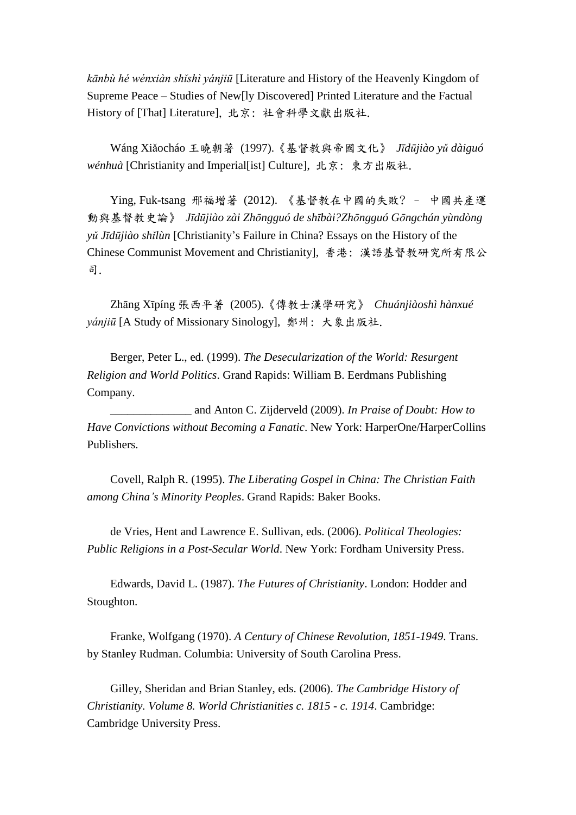*kānbù hé wénxiàn shǐshì yánjiū* [Literature and History of the Heavenly Kingdom of Supreme Peace – Studies of New[ly Discovered] Printed Literature and the Factual History of [That] Literature], 北京: 社會科學文獻出版社.

Wáng Xiǎocháo 王曉朝著 (1997).《基督教與帝國文化》 *Jīdūjiào yǔ dàiguó wénhuà* [Christianity and Imperial[ist] Culture], 北京: 東方出版社.

Ying, Fuk-tsang 邢福增著 (2012). 《基督教在中國的失敗? – 中國共產運 動與基督教史論》 *Jīdūjiào zài Zhōngguó de shībài?Zhōngguó Gōngchán yùndòng yǔ Jīdūjiào shǐlùn* [Christianity's Failure in China? Essays on the History of the Chinese Communist Movement and Christianity], 香港: 漢語基督教研究所有限公 司.

Zhāng Xīpíng 張西平著 (2005).《傳教士漢學研究》 *Chuánjiàoshì hànxué yánjiū* [A Study of Missionary Sinology], 鄭州: 大象出版社.

Berger, Peter L., ed. (1999). *The Desecularization of the World: Resurgent Religion and World Politics*. Grand Rapids: William B. Eerdmans Publishing Company.

\_\_\_\_\_\_\_\_\_\_\_\_\_\_ and Anton C. Zijderveld (2009). *In Praise of Doubt: How to Have Convictions without Becoming a Fanatic*. New York: HarperOne/HarperCollins Publishers.

Covell, Ralph R. (1995). *The Liberating Gospel in China: The Christian Faith among China's Minority Peoples*. Grand Rapids: Baker Books.

de Vries, Hent and Lawrence E. Sullivan, eds. (2006). *Political Theologies: Public Religions in a Post-Secular World*. New York: Fordham University Press.

Edwards, David L. (1987). *The Futures of Christianity*. London: Hodder and Stoughton.

Franke, Wolfgang (1970). *A Century of Chinese Revolution, 1851-1949*. Trans. by Stanley Rudman. Columbia: University of South Carolina Press.

Gilley, Sheridan and Brian Stanley, eds. (2006). *The Cambridge History of Christianity. Volume 8. World Christianities c. 1815 - c. 1914*. Cambridge: Cambridge University Press.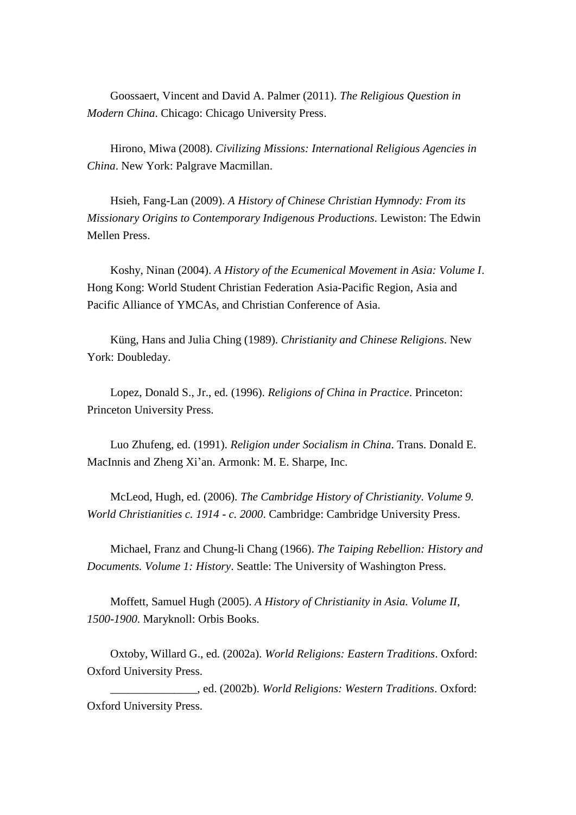Goossaert, Vincent and David A. Palmer (2011). *The Religious Question in Modern China*. Chicago: Chicago University Press.

Hirono, Miwa (2008). *Civilizing Missions: International Religious Agencies in China*. New York: Palgrave Macmillan.

Hsieh, Fang-Lan (2009). *A History of Chinese Christian Hymnody: From its Missionary Origins to Contemporary Indigenous Productions*. Lewiston: The Edwin Mellen Press.

Koshy, Ninan (2004). *A History of the Ecumenical Movement in Asia: Volume I*. Hong Kong: World Student Christian Federation Asia-Pacific Region, Asia and Pacific Alliance of YMCAs, and Christian Conference of Asia.

Küng, Hans and Julia Ching (1989). *Christianity and Chinese Religions*. New York: Doubleday.

Lopez, Donald S., Jr., ed. (1996). *Religions of China in Practice*. Princeton: Princeton University Press.

Luo Zhufeng, ed. (1991). *Religion under Socialism in China*. Trans. Donald E. MacInnis and Zheng Xi'an. Armonk: M. E. Sharpe, Inc.

McLeod, Hugh, ed. (2006). *The Cambridge History of Christianity. Volume 9. World Christianities c. 1914 - c. 2000*. Cambridge: Cambridge University Press.

Michael, Franz and Chung-li Chang (1966). *The Taiping Rebellion: History and Documents. Volume 1: History*. Seattle: The University of Washington Press.

Moffett, Samuel Hugh (2005). *A History of Christianity in Asia. Volume II, 1500-1900*. Maryknoll: Orbis Books.

Oxtoby, Willard G., ed. (2002a). *World Religions: Eastern Traditions*. Oxford: Oxford University Press.

\_\_\_\_\_\_\_\_\_\_\_\_\_\_\_, ed. (2002b). *World Religions: Western Traditions*. Oxford: Oxford University Press.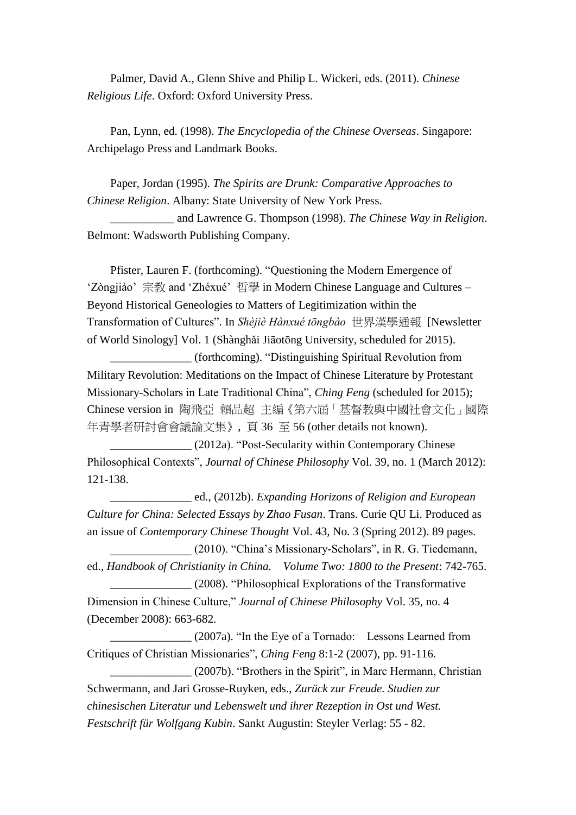Palmer, David A., Glenn Shive and Philip L. Wickeri, eds. (2011). *Chinese Religious Life*. Oxford: Oxford University Press.

Pan, Lynn, ed. (1998). *The Encyclopedia of the Chinese Overseas*. Singapore: Archipelago Press and Landmark Books.

Paper, Jordan (1995). *The Spirits are Drunk: Comparative Approaches to Chinese Religion*. Albany: State University of New York Press.

\_\_\_\_\_\_\_\_\_\_\_ and Lawrence G. Thompson (1998). *The Chinese Way in Religion*. Belmont: Wadsworth Publishing Company.

Pfister, Lauren F. (forthcoming). "Questioning the Modern Emergence of 'Zòngjiào' 宗教 and 'Zhéxué' 哲學 in Modern Chinese Language and Cultures – Beyond Historical Geneologies to Matters of Legitimization within the Transformation of Cultures". In *Shèjiè Hànxué tōngbào* 世界漢學通報 [Newsletter of World Sinology] Vol. 1 (Shànghǎi Jiāotōng University, scheduled for 2015).

\_\_\_\_\_\_\_\_\_\_\_\_\_\_ (forthcoming). "Distinguishing Spiritual Revolution from Military Revolution: Meditations on the Impact of Chinese Literature by Protestant Missionary-Scholars in Late Traditional China", *Ching Feng* (scheduled for 2015); Chinese version in 陶飛亞 賴品超 主編《第六屆「基督教與中國社會文化」國際 年青學者研討會會議論文集》, 頁 36 至 56 (other details not known).

\_\_\_\_\_\_\_\_\_\_\_\_\_\_ (2012a). "Post-Secularity within Contemporary Chinese Philosophical Contexts", *Journal of Chinese Philosophy* Vol. 39, no. 1 (March 2012): 121-138.

\_\_\_\_\_\_\_\_\_\_\_\_\_\_ ed., (2012b). *Expanding Horizons of Religion and European Culture for China: Selected Essays by Zhao Fusan*. Trans. Curie QU Li. Produced as an issue of *Contemporary Chinese Thought* Vol. 43, No. 3 (Spring 2012). 89 pages.

\_\_\_\_\_\_\_\_\_\_\_\_\_\_ (2010). "China's Missionary-Scholars", in R. G. Tiedemann, ed., *Handbook of Christianity in China. Volume Two: 1800 to the Present*: 742-765.

\_\_\_\_\_\_\_\_\_\_\_\_\_\_ (2008). "Philosophical Explorations of the Transformative Dimension in Chinese Culture," *Journal of Chinese Philosophy* Vol. 35, no. 4 (December 2008): 663-682.

\_\_\_\_\_\_\_\_\_\_\_\_\_\_ (2007a). "In the Eye of a Tornado: Lessons Learned from Critiques of Christian Missionaries", *Ching Feng* 8:1-2 (2007), pp. 91-116*.*

\_\_\_\_\_\_\_\_\_\_\_\_\_\_ (2007b). "Brothers in the Spirit", in Marc Hermann, Christian Schwermann, and Jari Grosse-Ruyken, eds., *Zurück zur Freude. Studien zur chinesischen Literatur und Lebenswelt und ihrer Rezeption in Ost und West. Festschrift für Wolfgang Kubin*. Sankt Augustin: Steyler Verlag: 55 - 82.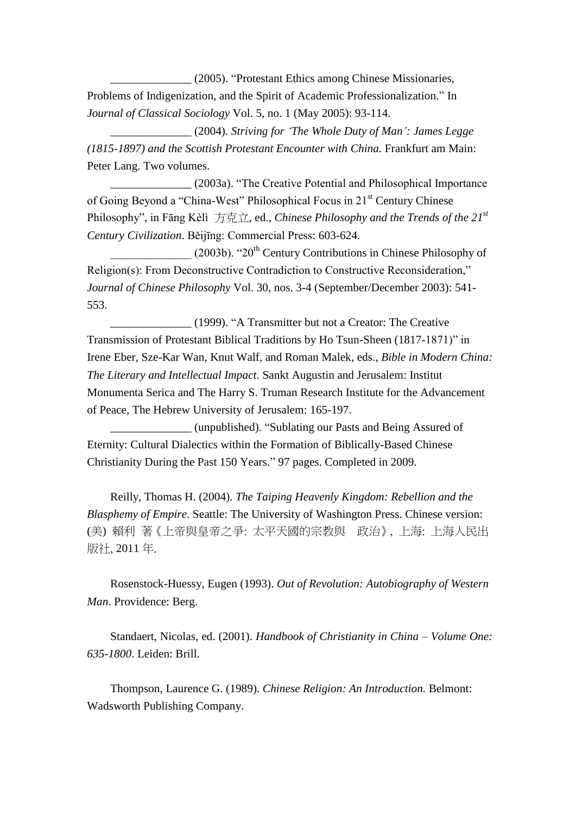\_\_\_\_\_\_\_\_\_\_\_\_\_\_ (2005). "Protestant Ethics among Chinese Missionaries, Problems of Indigenization, and the Spirit of Academic Professionalization." In *Journal of Classical Sociology* Vol. 5, no. 1 (May 2005): 93-114.

\_\_\_\_\_\_\_\_\_\_\_\_\_\_ (2004). *Striving for 'The Whole Duty of Man': James Legge (1815-1897) and the Scottish Protestant Encounter with China.* Frankfurt am Main: Peter Lang. Two volumes.

\_\_\_\_\_\_\_\_\_\_\_\_\_\_ (2003a). "The Creative Potential and Philosophical Importance of Going Beyond a "China-West" Philosophical Focus in 21st Century Chinese Philosophy", in Fāng Kèlì 方克立, ed., *Chinese Philosophy and the Trends of the 21st Century Civilization*. Běijīng: Commercial Press: 603-624.

 $(2003b)$ . "20<sup>th</sup> Century Contributions in Chinese Philosophy of Religion(s): From Deconstructive Contradiction to Constructive Reconsideration," *Journal of Chinese Philosophy* Vol. 30, nos. 3-4 (September/December 2003): 541- 553.

\_\_\_\_\_\_\_\_\_\_\_\_\_\_ (1999). "A Transmitter but not a Creator: The Creative Transmission of Protestant Biblical Traditions by Ho Tsun-Sheen (1817-1871)" in Irene Eber, Sze-Kar Wan, Knut Walf, and Roman Malek, eds., *Bible in Modern China: The Literary and Intellectual Impact*. Sankt Augustin and Jerusalem: Institut Monumenta Serica and The Harry S. Truman Research Institute for the Advancement of Peace, The Hebrew University of Jerusalem: 165-197.

\_\_\_\_\_\_\_\_\_\_\_\_\_\_ (unpublished). "Sublating our Pasts and Being Assured of Eternity: Cultural Dialectics within the Formation of Biblically-Based Chinese Christianity During the Past 150 Years." 97 pages. Completed in 2009.

Reilly, Thomas H. (2004). *The Taiping Heavenly Kingdom: Rebellion and the Blasphemy of Empire*. Seattle: The University of Washington Press. Chinese version: (美) 賴利 著《上帝與皇帝之爭: 太平天國的宗教與 政治》, 上海: 上海人民出 版社, 2011 年.

Rosenstock-Huessy, Eugen (1993). *Out of Revolution: Autobiography of Western Man*. Providence: Berg.

Standaert, Nicolas, ed. (2001). *Handbook of Christianity in China – Volume One: 635-1800*. Leiden: Brill.

Thompson, Laurence G. (1989). *Chinese Religion: An Introduction.* Belmont: Wadsworth Publishing Company.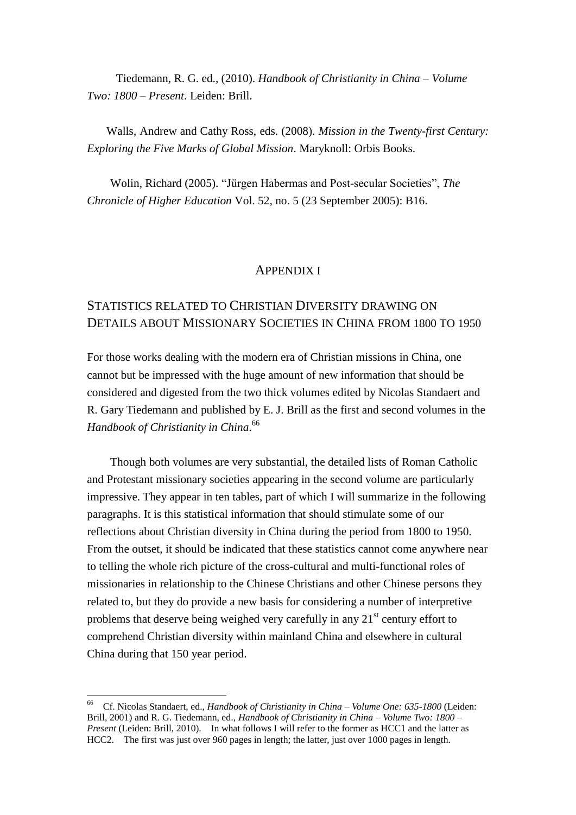Tiedemann, R. G. ed., (2010). *Handbook of Christianity in China – Volume Two: 1800* – *Present*. Leiden: Brill.

Walls, Andrew and Cathy Ross, eds. (2008). *Mission in the Twenty-first Century: Exploring the Five Marks of Global Mission*. Maryknoll: Orbis Books.

Wolin, Richard (2005). "Jürgen Habermas and Post-secular Societies", *The Chronicle of Higher Education* Vol. 52, no. 5 (23 September 2005): B16.

### APPENDIX I

# STATISTICS RELATED TO CHRISTIAN DIVERSITY DRAWING ON DETAILS ABOUT MISSIONARY SOCIETIES IN CHINA FROM 1800 TO 1950

For those works dealing with the modern era of Christian missions in China, one cannot but be impressed with the huge amount of new information that should be considered and digested from the two thick volumes edited by Nicolas Standaert and R. Gary Tiedemann and published by E. J. Brill as the first and second volumes in the *Handbook of Christianity in China*. 66

Though both volumes are very substantial, the detailed lists of Roman Catholic and Protestant missionary societies appearing in the second volume are particularly impressive. They appear in ten tables, part of which I will summarize in the following paragraphs. It is this statistical information that should stimulate some of our reflections about Christian diversity in China during the period from 1800 to 1950. From the outset, it should be indicated that these statistics cannot come anywhere near to telling the whole rich picture of the cross-cultural and multi-functional roles of missionaries in relationship to the Chinese Christians and other Chinese persons they related to, but they do provide a new basis for considering a number of interpretive problems that deserve being weighed very carefully in any  $21<sup>st</sup>$  century effort to comprehend Christian diversity within mainland China and elsewhere in cultural China during that 150 year period.

<sup>66</sup> Cf. Nicolas Standaert, ed., *Handbook of Christianity in China – Volume One: 635-1800* (Leiden: Brill, 2001) and R. G. Tiedemann, ed., *Handbook of Christianity in China – Volume Two: 1800* – *Present* (Leiden: Brill, 2010). In what follows I will refer to the former as HCC1 and the latter as HCC2. The first was just over 960 pages in length; the latter, just over 1000 pages in length.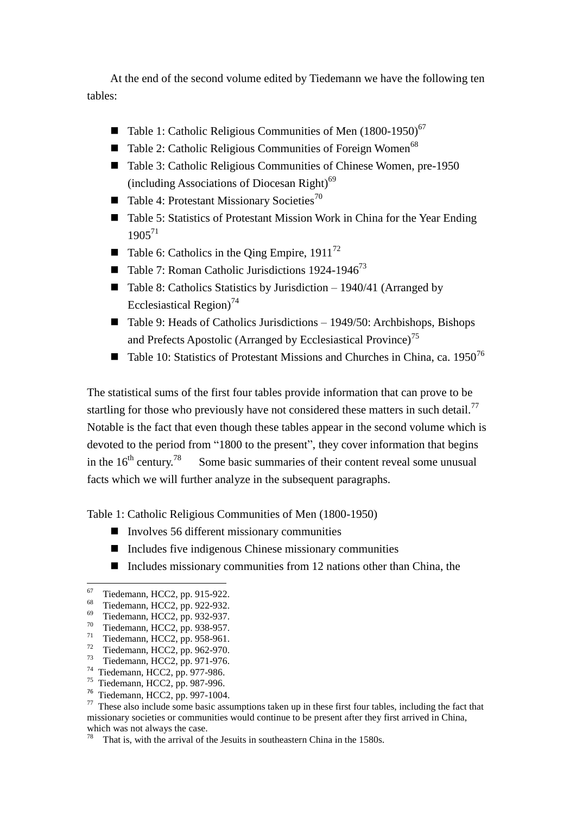At the end of the second volume edited by Tiedemann we have the following ten tables:

- Table 1: Catholic Religious Communities of Men  $(1800-1950)^{67}$
- Table 2: Catholic Religious Communities of Foreign Women<sup>68</sup>
- Table 3: Catholic Religious Communities of Chinese Women, pre-1950 (including Associations of Diocesan Right) $^{69}$
- $\blacksquare$  Table 4: Protestant Missionary Societies<sup>70</sup>
- Table 5: Statistics of Protestant Mission Work in China for the Year Ending 1905<sup>71</sup>
- Table 6: Catholics in the Oing Empire,  $1911^{72}$
- Table 7: Roman Catholic Jurisdictions 1924-1946<sup>73</sup>
- Table 8: Catholics Statistics by Jurisdiction  $-1940/41$  (Arranged by Ecclesiastical Region)<sup>74</sup>
- Table 9: Heads of Catholics Jurisdictions  $-1949/50$ : Archbishops, Bishops and Prefects Apostolic (Arranged by Ecclesiastical Province)<sup>75</sup>
- **Table 10: Statistics of Protestant Missions and Churches in China, ca. 1950<sup>76</sup>**

The statistical sums of the first four tables provide information that can prove to be startling for those who previously have not considered these matters in such detail.<sup>77</sup> Notable is the fact that even though these tables appear in the second volume which is devoted to the period from "1800 to the present", they cover information that begins in the  $16^{th}$  century.<sup>78</sup> Some basic summaries of their content reveal some unusual facts which we will further analyze in the subsequent paragraphs.

Table 1: Catholic Religious Communities of Men (1800-1950)

- $\blacksquare$  Involves 56 different missionary communities
- Includes five indigenous Chinese missionary communities
- $\blacksquare$  Includes missionary communities from 12 nations other than China, the

 67 Tiedemann, HCC2, pp. 915-922.

<sup>68</sup> Tiedemann, HCC2, pp. 922-932.

<sup>69</sup> Tiedemann, HCC2, pp. 932-937.

<sup>70</sup> Tiedemann, HCC2, pp. 938-957.

<sup>71</sup> Tiedemann, HCC2, pp. 958-961.

<sup>72</sup> Tiedemann, HCC2, pp. 962-970. 73 Tiedemann, HCC2, pp. 971-976.

<sup>74</sup> Tiedemann, HCC2, pp. 977-986.

<sup>75</sup> Tiedemann, HCC2, pp. 987-996.

<sup>76</sup> Tiedemann, HCC2, pp. 997-1004.

 $77$  These also include some basic assumptions taken up in these first four tables, including the fact that missionary societies or communities would continue to be present after they first arrived in China, which was not always the case.

<sup>&</sup>lt;sup>78</sup> That is, with the arrival of the Jesuits in southeastern China in the 1580s.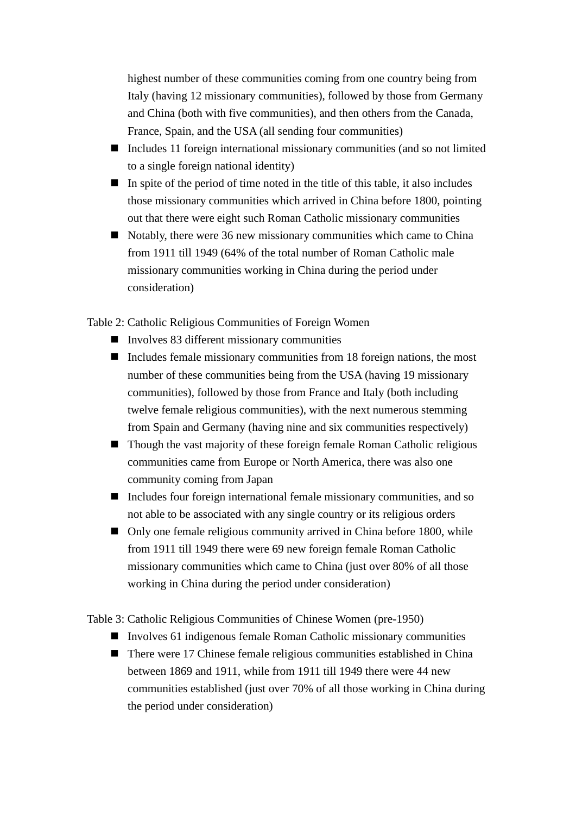highest number of these communities coming from one country being from Italy (having 12 missionary communities), followed by those from Germany and China (both with five communities), and then others from the Canada, France, Spain, and the USA (all sending four communities)

- Includes 11 foreign international missionary communities (and so not limited to a single foreign national identity)
- $\blacksquare$  In spite of the period of time noted in the title of this table, it also includes those missionary communities which arrived in China before 1800, pointing out that there were eight such Roman Catholic missionary communities
- $\blacksquare$  Notably, there were 36 new missionary communities which came to China from 1911 till 1949 (64% of the total number of Roman Catholic male missionary communities working in China during the period under consideration)

Table 2: Catholic Religious Communities of Foreign Women

- $\blacksquare$  Involves 83 different missionary communities
- Includes female missionary communities from 18 foreign nations, the most number of these communities being from the USA (having 19 missionary communities), followed by those from France and Italy (both including twelve female religious communities), with the next numerous stemming from Spain and Germany (having nine and six communities respectively)
- Though the vast majority of these foreign female Roman Catholic religious communities came from Europe or North America, there was also one community coming from Japan
- Includes four foreign international female missionary communities, and so not able to be associated with any single country or its religious orders
- Only one female religious community arrived in China before 1800, while from 1911 till 1949 there were 69 new foreign female Roman Catholic missionary communities which came to China (just over 80% of all those working in China during the period under consideration)

Table 3: Catholic Religious Communities of Chinese Women (pre-1950)

- Involves 61 indigenous female Roman Catholic missionary communities
- There were 17 Chinese female religious communities established in China between 1869 and 1911, while from 1911 till 1949 there were 44 new communities established (just over 70% of all those working in China during the period under consideration)